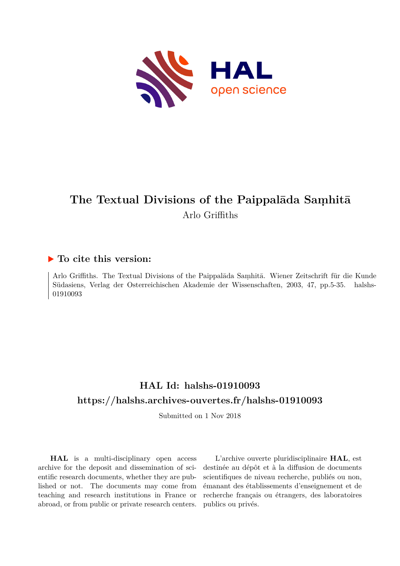

# **The Textual Divisions of the Paippalāda Saṃhitā** Arlo Griffiths

# **To cite this version:**

Arlo Griffiths. The Textual Divisions of the Paippalāda Saṃhitā. Wiener Zeitschrift für die Kunde Südasiens, Verlag der Osterreichischen Akademie der Wissenschaften, 2003, 47, pp. 5-35. halshs-01910093ff

# **HAL Id: halshs-01910093 <https://halshs.archives-ouvertes.fr/halshs-01910093>**

Submitted on 1 Nov 2018

**HAL** is a multi-disciplinary open access archive for the deposit and dissemination of scientific research documents, whether they are published or not. The documents may come from teaching and research institutions in France or abroad, or from public or private research centers.

L'archive ouverte pluridisciplinaire **HAL**, est destinée au dépôt et à la diffusion de documents scientifiques de niveau recherche, publiés ou non, émanant des établissements d'enseignement et de recherche français ou étrangers, des laboratoires publics ou privés.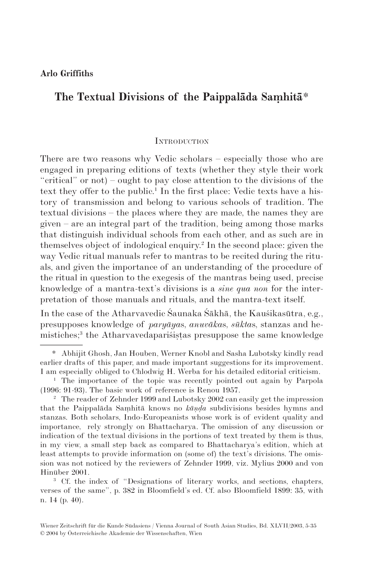# **The Textual Divisions of the Paippalāda Saṃhitā**\*

#### **INTRODUCTION**

There are two reasons why Vedic scholars – especially those who are engaged in preparing editions of texts (whether they style their work "critical" or not) – ought to pay close attention to the divisions of the text they offer to the public.<sup>1</sup> In the first place: Vedic texts have a history of transmission and belong to various schools of tradition. The textual divisions – the places where they are made, the names they are given – are an integral part of the tradition, being among those marks that distinguish individual schools from each other, and as such are in themselves object of indological enquiry.2 In the second place: given the way Vedic ritual manuals refer to mantras to be recited during the rituals, and given the importance of an understanding of the procedure of the ritual in question to the exegesis of the mantras being used, precise knowledge of a mantra-text's divisions is a *sine qua non* for the interpretation of those manuals and rituals, and the mantra-text itself.

In the case of the Atharvavedic Śaunaka Śākhā, the Kauśikasūtra, e.g., presupposes knowledge of *paryāya*s, *anuvāka*s, *sūkta*s, stanzas and hemistiches;3 the Atharvavedapariśiṣṭas presuppose the same knowledge

<sup>3</sup> Cf. the index of "Designations of literary works, and sections, chapters, verses of the same", p. 382 in Bloomfield's ed. Cf. also Bloomfield 1899: 35, with n. 14 (p. 40).

<sup>\*</sup> Abhijit Ghosh, Jan Houben, Werner Knobl and Sasha Lubotsky kindly read earlier drafts of this paper, and made important suggestions for its improvement. I am especially obliged to Chlodwig H. Werba for his detailed editorial criticism.

<sup>&</sup>lt;sup>1</sup> The importance of the topic was recently pointed out again by Parpola (1996: 91-93). The basic work of reference is Renou 1957.

<sup>&</sup>lt;sup>2</sup> The reader of Zehnder 1999 and Lubotsky 2002 can easily get the impression that the Paippalāda Saṃhitā knows no *kāṇḍa* subdivisions besides hymns and stanzas. Both scholars, Indo-Europeanists whose work is of evident quality and importance, rely strongly on Bhattacharya. The omission of any discussion or indication of the textual divisions in the portions of text treated by them is thus, in my view, a small step back as compared to Bhattacharya's edition, which at least attempts to provide information on (some of) the text's divisions. The omission was not noticed by the reviewers of Zehnder 1999, viz. Mylius 2000 and von Hinüber 2001.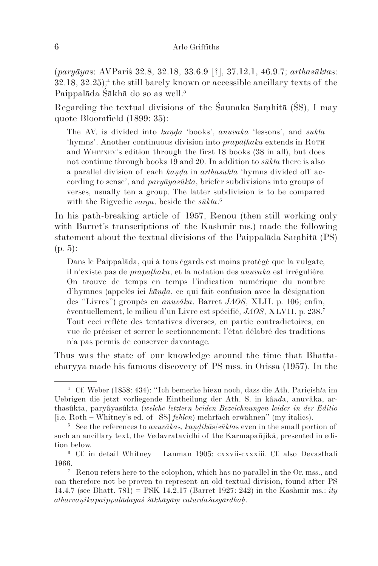(*paryāya*s: AVPariś 32.8, 32.18, 33.6.9 [?], 37.12.1, 46.9.7; *arthasūkta*s:  $32.18, 32.25$ ;<sup>4</sup> the still barely known or accessible ancillary texts of the Paippalāda Śākhā do so as well.<sup>5</sup>

Regarding the textual divisions of the Śaunaka Saṃhitā (ŚS), I may quote Bloomfield (1899: 35):

The AV. is divided into *kāṇḍa* 'books', *anuvāka* 'lessons', and *sūkta* 'hymns'. Another continuous division into *prapāṭhaka* extends in ROTH and WHITNEY's edition through the first 18 books (38 in all), but does not continue through books 19 and 20. In addition to *sūkta* there is also a parallel division of each *kāṇḍa* in *arthasūkta* 'hymns divided off according to sense', and *paryāyasūkta*, briefer subdivisions into groups of verses, usually ten a group. The latter subdivision is to be compared with the Rigvedic *varga*, beside the *sūkta*. 6

In his path-breaking article of 1957, Renou (then still working only with Barret's transcriptions of the Kashmir ms.) made the following statement about the textual divisions of the Paippalāda Saṃhitā (PS) (p. 5):

Dans le Paippalāda, qui à tous égards est moins protégé que la vulgate, il n'existe pas de *prapāṭhaka*, et la notation des *anuvāka* est irrégulière. On trouve de temps en temps l'indication numérique du nombre d'hymnes (appelés ici *kāṇḍa*, ce qui fait confusion avec la désignation des "Livres") groupés en *anuvāka*, Barret *JAOS*, XLII, p. 106; enfin, éventuellement, le milieu d'un Livre est spécifié, *JAOS*, XLVII, p. 238.7 Tout ceci reflète des tentatives diverses, en partie contradictoires, en vue de préciser et serrer le sectionnement: l'état délabré des traditions n'a pas permis de conserver davantage.

Thus was the state of our knowledge around the time that Bhattacharyya made his famous discovery of PS mss. in Orissa (1957). In the

<sup>4</sup> Cf. Weber (1858: 434): "Ich bemerke hiezu noch, dass die Ath. Pariçish*t*a im Uebrigen die jetzt vorliegende Eintheilung der Ath. S. in kâ*nd*a, anuvâka, arthasûkta, paryâyasûkta (*welche letztern beiden Bezeichnungen leider in der Editio* [i.e. Roth – Whitney's ed. of ŚS] *fehlen*) mehrfach erwähnen" (my italics).

<sup>5</sup> See the references to *anuvāka*s, *kaṇḍikā*s/*sūkta*s even in the small portion of such an ancillary text, the Vedavratavidhi of the Karmapañjikā, presented in edition below.

<sup>6</sup> Cf. in detail Whitney – Lanman 1905: cxxvii-cxxxiii. Cf. also Devasthali 1966.<br><sup>7</sup> Renou refers here to the colophon, which has no parallel in the Or. mss., and

can therefore not be proven to represent an old textual division, found after PS 14.4.7 (see Bhatt. 781) = PSK 14.2.17 (Barret 1927: 242) in the Kashmir ms.: *ity atharvaṇikapaippalādayaś śākhāyāṃ caturdaśasyārdhaḥ*.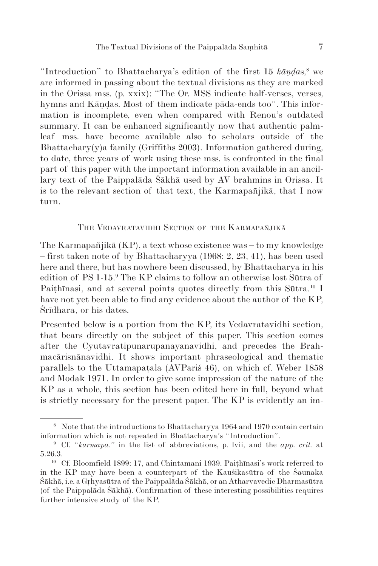"Introduction" to Bhattacharya's edition of the first 15  $k\bar{a}n\bar{d}as$ ,<sup>8</sup> we are informed in passing about the textual divisions as they are marked in the Orissa mss. (p. xxix): "The Or. MSS indicate half-verses, verses, hymns and Kāṇḍas. Most of them indicate pāda-ends too". This information is incomplete, even when compared with Renou's outdated summary. It can be enhanced significantly now that authentic palmleaf mss. have become available also to scholars outside of the Bhattachary(y)a family (Griffiths 2003). Information gathered during, to date, three years of work using these mss. is confronted in the final part of this paper with the important information available in an ancillary text of the Paippalāda Śākhā used by AV brahmins in Orissa. It is to the relevant section of that text, the Karmapañjikā, that I now turn.

#### THE VEDAVRATAVIDHI SECTION OF THE KARMAPAÑJIKĀ

The Karmapañjikā (KP), a text whose existence was – to my knowledge – first taken note of by Bhattacharyya (1968: 2, 23, 41), has been used here and there, but has nowhere been discussed, by Bhattacharya in his edition of PS 1-15.9 The KP claims to follow an otherwise lost Sūtra of Paithinasi, and at several points quotes directly from this Sūtra.<sup>10</sup> I have not yet been able to find any evidence about the author of the KP, Śrīdhara, or his dates.

Presented below is a portion from the KP, its Vedavratavidhi section, that bears directly on the subject of this paper. This section comes after the Cyutavratipunarupanayanavidhi, and precedes the Brahmacārisnānavidhi. It shows important phraseological and thematic parallels to the Uttamapaṭala (AVPariś 46), on which cf. Weber 1858 and Modak 1971. In order to give some impression of the nature of the KP as a whole, this section has been edited here in full, beyond what is strictly necessary for the present paper. The KP is evidently an im-

<sup>8</sup> Note that the introductions to Bhattacharyya 1964 and 1970 contain certain information which is not repeated in Bhattacharya's "Introduction".

<sup>9</sup> Cf. "*karmapa*." in the list of abbreviations, p. lvii, and the *app. crit.* at 5.26.3.

<sup>10</sup> Cf. Bloomfield 1899: 17, and Chintamani 1939. Paiṭhīnasi's work referred to in the KP may have been a counterpart of the Kauśikasūtra of the Śaunaka Śākhā, i.e. a Gṛhyasūtra of the Paippalāda Śākhā, or an Atharvavedic Dharmasūtra (of the Paippalāda Śākhā). Confirmation of these interesting possibilities requires further intensive study of the KP.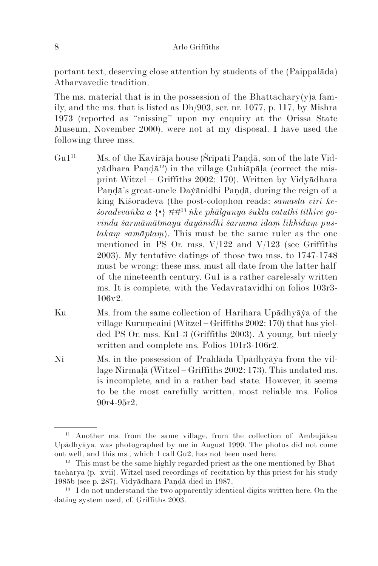portant text, deserving close attention by students of the (Paippalada) Atharvavedic tradition.

The ms. material that is in the possession of the Bhattachary(y) a family, and the ms. that is listed as Dh/903, ser. nr. 1077, p. 117, by Mishra 1973 (reported as "missing" upon my enquiry at the Orissa State Museum, November 2000), were not at my disposal. I have used the following three mss.

- $G\mathbf{u}^{11}$  Ms. of the Kavirāja house (Śrīpati Pandā, son of the late Vidyādhara Paṇḍā12) in the village Guhiāpāḷa (correct the misprint Witzel – Griffiths 2002: 170). Written by Vidyādhara Pandā's great-uncle Davānidhi Pandā, during the reign of a king Kiśoradeva (the post-colophon reads: *samasta viri keśoradevaṅka a* {•} ##13 *ṅke phālgunya śukla catuthi tithire govinda śarmāmātmaya dayānidhi śarmma idaṃ likhidaṃ pustakaṃ samāptaṃ*). This must be the same ruler as the one mentioned in PS Or. mss.  $V/122$  and  $V/123$  (see Griffiths 2003). My tentative datings of those two mss. to 1747-1748 must be wrong: these mss. must all date from the latter half of the nineteenth century. Gu1 is a rather carelessly written ms. It is complete, with the Vedavratavidhi on folios 103r3- 106v2.
- Ku Ms. from the same collection of Harihara Upādhyāya of the village Kuruṃcaini (Witzel – Griffiths 2002: 170) that has yielded PS Or. mss. Ku1-3 (Griffiths 2003). A young, but nicely written and complete ms. Folios 101r3-106r2.
- Ni Ms. in the possession of Prahlāda Upādhyāўa from the village Nirmalā (Witzel – Griffiths 2002: 173). This undated ms. is incomplete, and in a rather bad state. However, it seems to be the most carefully written, most reliable ms. Folios 90r4-95r2.

<sup>11</sup> Another ms. from the same village, from the collection of Ambujākṣa Upādhyāya, was photographed by me in August 1999. The photos did not come out well, and this ms., which I call Gu2, has not been used here.

 $12$  This must be the same highly regarded priest as the one mentioned by Bhattacharya (p. xvii). Witzel used recordings of recitation by this priest for his study 1985b (see p. 287). Vidyādhara Paṇḍā died in 1987.

<sup>&</sup>lt;sup>13</sup> I do not understand the two apparently identical digits written here. On the dating system used, cf. Griffiths 2003.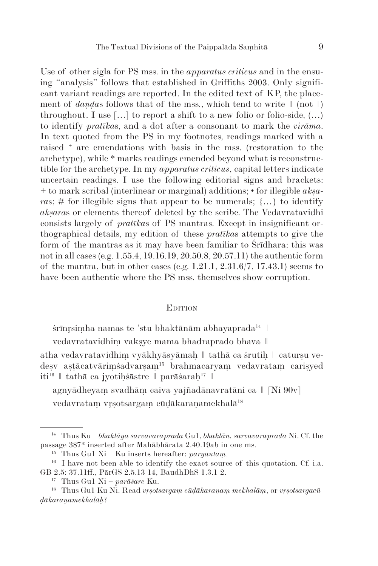Use of other sigla for PS mss. in the *apparatus criticus* and in the ensuing "analysis" follows that established in Griffiths 2003. Only significant variant readings are reported. In the edited text of KP, the placement of *daṇḍa*s follows that of the mss., which tend to write ǁ (not ǀ) throughout. I use  $[\dots]$  to report a shift to a new folio or folio-side,  $(\dots)$ to identify *pratīka*s, and a dot after a consonant to mark the *virāma*. In text quoted from the PS in my footnotes, readings marked with a raised + are emendations with basis in the mss. (restoration to the archetype), while \* marks readings emended beyond what is reconstructible for the archetype. In my *apparatus criticus*, capital letters indicate uncertain readings. I use the following editorial signs and brackets: + to mark scribal (interlinear or marginal) additions; • for illegible *akṣaras*; # for illegible signs that appear to be numerals;  $\{...\}$  to identify *akṣara*s or elements thereof deleted by the scribe. The Vedavratavidhi consists largely of *pratīka*s of PS mantras. Except in insignificant orthographical details, my edition of these *pratīka*s attempts to give the form of the mantras as it may have been familiar to Śrīdhara: this was not in all cases (e.g. 1.55.4, 19.16.19, 20.50.8, 20.57.11) the authentic form of the mantra, but in other cases (e.g.  $1.21.1$ ,  $2.31.6/7$ ,  $17.43.1$ ) seems to have been authentic where the PS mss. themselves show corruption.

#### **EDITION**

śrīnrsimha namas te 'stu bhaktānām abhayaprada<sup>14</sup> ||

vedavratavidhiṃ vakṣye mama bhadraprado bhava ǁ

atha vedavratavidhim vyākhyāsyāmaḥ | tathā ca śrutih | catursu vedesv astācatvārimśadvarsam<sup>15</sup> brahmacaryam vedavratam carisyed iti<sup>16</sup> | tathā ca jyotihśāstre | parāśarah<sup>17</sup> ||

agnyādheyaṃ svadhāṃ caiva yajñadānavratāni ca ǁ [Ni 90v]

vedavratam vrsotsargam cūdākaranamekhalā<sup>18</sup>

<sup>14</sup> Thus Ku – *bhaktāya sarvavaraprada* Gu1, *bhaktān. sarvavaraprada* Ni. Cf. the passage 387\* inserted after Mahābhārata 2.40.19ab in one ms.

<sup>15</sup> Thus Gu1 Ni – Ku inserts hereafter: *paryantaṃ*.

<sup>&</sup>lt;sup>16</sup> I have not been able to identify the exact source of this quotation. Cf. i.a. GB 2.5: 37.11ff., PārGS 2.5.13-14, BaudhDhS 1.3.1-2.

<sup>17</sup> Thus Gu1 Ni – *parāśare* Ku.

<sup>&</sup>lt;sup>18</sup> Thus Gu1 Ku Ni. Read *vṛṣotsargaṃ cūḍākaraṇaṃ mekhalāṃ*, or *vṛṣotsargacūḍā karaṇa mekhalāḥ*?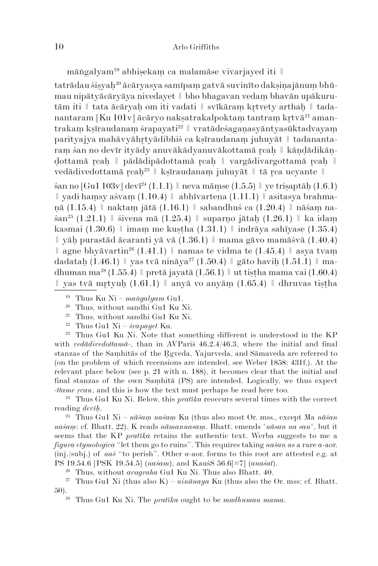māṅgalyam19 abhiṣekaṃ ca malamāse vivarjayed iti ǁ

tatrādau śisyah<sup>20</sup> ācāryasya samīpam gatvā suvinīto daksinajānum bhūmau nipātyācāryāya nivedayet || bho bhagavan vedam bhavān upākurutām iti | tata ācāryah om iti vadati || svīkāram krtvety arthah || tadanantaram [Ku  $101v$ ] ācāryo naksatrakalpoktam tantram krtvā<sup>21</sup> amantra kam kṣīraudanam śrapayati<sup>22</sup> | vratādeśaganasyāntyasūktadvayam parityajya mahāvyāhrtyādibhiś ca kṣīraudanam juhuyāt || tadanantaram śan no devīr ityādy anuvākādyanuvākottamā reah | kāndādikānḍottamā caḥ ǁ pādādipādottamā caḥ ǁ vargādivargottamā caḥ ǁ vedā divedottamā r $\cosh^{23} \parallel$ ksīraudanam juhuyāt  $\parallel$ tā r $\cosh \theta$ ucyante  $\parallel$ 

 $\sin$  no [Gu1 103v] devī<sup>24</sup> (1.1.1) || neva māmse (1.5.5) || ve trisaptāh (1.6.1) || yadi hamsy aśvam  $(1.10.4)$  || abhīvartena  $(1.11.1)$  || asitasya brahmaṇā (1.15.4) ǁ naktaṃ jātā (1.16.1) ǁ sabandhuś ca (1.20.4) ǁ nāśaṃ na- $\sin^{25} (1.21.1)$  || śivena mā (1.25.4) || suparno jātah (1.26.1) || ka idam kasmai  $(1.30.6)$   $\parallel$  imam me kuṣṭha  $(1.31.1)$   $\parallel$  indrāya sahīyase  $(1.35.4)$  $\parallel$  yāh purastād ācaranti yā vā  $(1.36.1)$   $\parallel$  mama gāvo mamāśvā  $(1.40.4)$  $\parallel$  agne bhyāvartin<sup>26</sup> (1.41.1)  $\parallel$  namas te vidma te (1.45.4)  $\parallel$  asya tvam da datah (1.46.1) || yas tvā nināya<sup>27</sup> (1.50.4) || gāto havih (1.51.1) || madhuman ma<sup>28</sup> (1.55.4)  $\parallel$  pretā jayatā (1.56.1)  $\parallel$  ut tistha mama vai (1.60.4)  $\parallel$  yas tvā mrtvuh (1.61.1)  $\parallel$  anyā vo anyām (1.65.4)  $\parallel$  dhruvas tistha

<sup>23</sup> Thus Gu1 Ku Ni. Note that something different is understood in the KP with *vedādivedottamā-*, than in AVPariś 46.2.4/46.3, where the initial and final stanzas of the Saṃhitās of the gveda, Yajurveda, and Sāmaveda are referred to (on the problem of which recensions are intended, see Weber 1858: 431f.). At the relevant place below (see p. 21 with n. 188), it becomes clear that the initial and final stanzas of the own Saṃhitā (PS) are intended. Logically, we thus expect -*ttame ṛcau*, and this is how the text must perhaps be read here too.

<sup>24</sup> Thus Gu1 Ku Ni. Below, this *pratīka* reoccurs several times with the correct reading *devīḥ*.

<sup>25</sup> Thus Gu1 Ni – *nāśaṃ naśaṃ* Ku (thus also most Or. mss., except Ma *nāśan naśaṃ*: cf. Bhatt. 22). K reads *nāmannasaṃ*. Bhatt. emends *+nāsan na san+*, but it seems that the KP *pratīka* retains the authentic text. Werba suggests to me a *figura etymologica* "let them go to ruins". This requires taking *naśan* as a rare *a*-aor. (inj./subj.) of *naś* "to perish". Other *a*-aor. forms to this root are attested e.g. at PS 19.54.6 [PSK 19.54.5] (*naśam*), and KauśS 56.6[=7] (*anaśat*).

<sup>26</sup> Thus, without *avagraha* Gu1 Ku Ni. Thus also Bhatt. 40.

<sup>27</sup> Thus Gu1 Ni (thus also K) –  $\sin \pi n a y a$  Ku (thus also the Or. mss; cf. Bhatt. 50).28 Thus Gu1 Ku Ni. The *pratīka* ought to be *madhuman mama*.

<sup>19</sup> Thus Ku Ni – *maṅgalyam* Gu1.

<sup>20</sup> Thus, without sandhi Gu1 Ku Ni.

<sup>21</sup> Thus, without sandhi Gu1 Ku Ni.

<sup>22</sup> Thus Gu1 Ni – *śrapayet* Ku.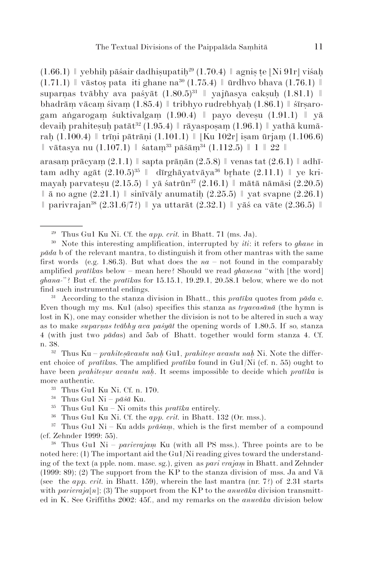(1.66.1)  $\parallel$  yebhiḥ pāśair dadhiṣupatiḥ<sup>29</sup> (1.70.4)  $\parallel$  agniṣ ṭe [Ni 91r] viśaḥ  $(1.71.1)$   $\parallel$  vāstos pata iti ghane na<sup>30</sup>  $(1.75.4)$   $\parallel$  ūrdhvo bhava  $(1.76.1)$   $\parallel$ suparnas tvābhy ava pašyāt  $(1.80.5)^{31}$  || yajñasya caksuḥ  $(1.81.1)$  || bhadrāṃ vācaṃ śivaṃ (1.85.4) ǁ tribhyo rudrebhyaḥ (1.86.1) ǁ śīrṣarogam aṅgarogam śuktivalgam  $(1.90.4)$  || payo devesu  $(1.91.1)$  || yā devaih prahitesuh patāt<sup>32</sup> (1.95.4) || rāyasposam (1.96.1) || yathā kumārah (1.100.4)  $\parallel$  trīni pātrāni (1.101.1)  $\parallel$  [Ku 102r] isam ūrjam (1.106.6)  $\parallel$ vātasya nu (1.107.1)  $\parallel$  śatam<sup>33</sup> pāśām<sup>34</sup> (1.112.5)  $\parallel$  1  $\parallel$  22  $\parallel$ 

arasam prācyam  $(2.1.1)$  | sapta prāṇān  $(2.5.8)$  | venas tat  $(2.6.1)$  | adhītam adhy agāt  $(2.10.5)^{35}$   $\parallel$  dīrghāyatvāya<sup>36</sup> brhate  $(2.11.1)$   $\parallel$  ye krimayaḥ parvateṣu  $(2.15.5)$   $\parallel$  yā śatrūn<sup>37</sup>  $(2.16.1)$   $\parallel$  mātā nāmāsi  $(2.20.5)$  $\parallel$   $\bar{a}$  no agne (2.21.1)  $\parallel$  sinīvāly anumatih (2.25.5)  $\parallel$  yat svapne (2.26.1)  $\parallel$  parivrajan<sup>38</sup> (2.31.6/7?)  $\parallel$  ya uttarāt (2.32.1)  $\parallel$  yāś ca vāte (2.36.5)  $\parallel$ 

<sup>31</sup> According to the stanza division in Bhatt., this *pratīka* quotes from *pāda* c. Even though my ms. Ku1 (also) specifies this stanza as *tryavasānā* (the hymn is lost in K), one may consider whether the division is not to be altered in such a way as to make *suparṇas tvābhy ava paśyāt* the opening words of 1.80.5. If so, stanza 4 (with just two *pāda*s) and 5ab of Bhatt. together would form stanza 4. Cf. n. 38. 32 Thus Ku – *prahiteṣāvantu naḥ* Gu1, *prahiteṣv avantu naḥ* Ni. Note the differ-

ent choice of *pratīka*s. The amplified *pratīka* found in Gu1/Ni (cf. n. 55) ought to have been *prahitesur avantu nah*. It seems impossible to decide which *pratīka* is more authentic.

<sup>36</sup> Thus Gu1 Ku Ni. Cf. the *app. crit.* in Bhatt. 132 (Or. mss.).

<sup>37</sup> Thus Gu1 Ni – Ku adds  $pr\bar{a}$ *sam*, which is the first member of a compound (cf. Zehnder 1999: 55).

<sup>38</sup> Thus Gu1 Ni – *parivrajaṃ* Ku (with all PS mss.). Three points are to be noted here: (1) The important aid the Gu1/Ni reading gives toward the understanding of the text (a pple. nom. masc. sg.), given as *pari vrajaṃ* in Bhatt. and Zehnder  $(1999: 89)$ ; (2) The support from the KP to the stanza division of mss. Ja and V $\bar{a}$ (see the *app. crit.* in Bhatt. 159), wherein the last mantra (nr. 7?) of  $2.31$  starts with  $pairvaja[n]$ ; (3) The support from the KP to the *anuvāka* division transmitted in K. See Griffiths 2002: 45f., and my remarks on the *anuvāka* division below

<sup>29</sup> Thus Gu1 Ku Ni. Cf. the *app. crit.* in Bhatt. 71 (ms. Ja).

<sup>30</sup> Note this interesting amplification, interrupted by *iti*: it refers to *ghane* in *pāda* b of the relevant mantra, to distinguish it from other mantras with the same first words (e.g. 1.86.3). But what does the  $na - not$  found in the comparably amplified *pratīka*s below – mean here? Should we read *ghanena* "with [the word] *ghana-*"? But cf. the *pratīka*s for 15.15.1, 19.29.1, 20.58.1 below, where we do not find such instrumental endings.

<sup>33</sup> Thus Gu1 Ku Ni. Cf. n. 170.

<sup>34</sup> Thus Gu1 Ni – *pāśā* Ku.

<sup>35</sup> Thus Gu1 Ku – Ni omits this *pratīka* entirely.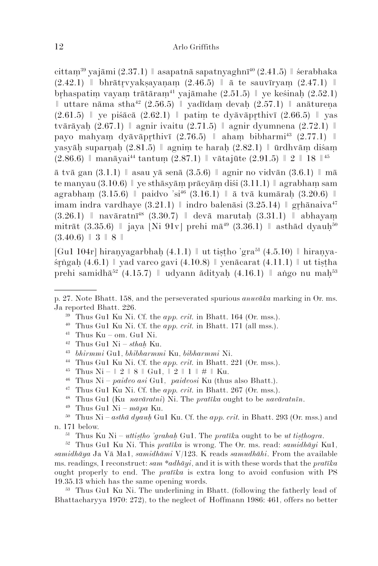cittam<sup>39</sup> yajāmi (2.37.1) || asapatnā sapatnyaghnī<sup>40</sup> (2.41.5) || śerabhaka  $(2.42.1)$  l bhrātrvyakṣayanam  $(2.46.5)$  l ā te sauvīryam  $(2.47.1)$  l brhaspatim vayam trātāram<sup>41</sup> yajāmahe (2.51.5)  $\parallel$  ye keśinah (2.52.1) ǁ uttare nāma stha42 (2.56.5) ǁ yadīdaṃ devaḥ (2.57.1) ǁ anātureṇa  $(2.61.5)$  | ye piśācā  $(2.62.1)$  | patim te dyāvāprthivī  $(2.66.5)$  | yas tvārāyah  $(2.67.1)$   $\parallel$  agnir ivaitu  $(2.71.5)$   $\parallel$  agnir dyumnena  $(2.72.1)$   $\parallel$ payo mahyam dyāvāprthivī  $(2.76.5)$  | aham bibharmi<sup>43</sup>  $(2.77.1)$  | yasyāh suparnah  $(2.81.5)$  | agnim te harah  $(2.82.1)$  | ūrdhvām diśam  $(2.86.6)$  | manāyai<sup>44</sup> tantum  $(2.87.1)$  | vātajūte  $(2.91.5)$  | 2 | 18 | <sup>45</sup>

ā tvā gan (3.1.1) ǁ asau yā senā (3.5.6) ǁ agnir no vidvān (3.6.1) ǁ mā te manyau  $(3.10.6)$  | ye sthāsyām prācyām diśi  $(3.11.1)$  | agrabham sam agrabham  $(3.15.6)$   $\parallel$  paidvo 'si<sup>46</sup>  $(3.16.1)$   $\parallel$   $\bar{a}$  tv $\bar{a}$  kumārah  $(3.20.6)$   $\parallel$ imam indra vardhaye  $(3.21.1)$  | indro balenāsi  $(3.25.14)$  | grhānaiva<sup>47</sup>  $(3.26.1)$  | navāratnī<sup>48</sup> (3.30.7) | devā marutah (3.31.1) | abhayam mitrāt (3.35.6)  $\parallel$  jaya [Ni 91v] prehi mā<sup>49</sup> (3.36.1)  $\parallel$  asthād dyauh<sup>50</sup>  $(3.40.6)$  | 3 | 8 |

[Gu1 104r] hiranyagarbhah  $(4.1.1)$  || ut tistho 'gra<sup>51</sup>  $(4.5.10)$  || hiranya- $\sin \alpha$  (4.6.1)  $\parallel$  yad varco gavi (4.10.8)  $\parallel$  venācarat (4.11.1)  $\parallel$  ut tistha prehi samidhā<sup>52</sup> (4.15.7)  $\parallel$  udyann ādityah (4.16.1)  $\parallel$  ango nu mah<sup>53</sup>

- <sup>42</sup> Thus Gu1 Ni *sthaḥ* Ku.
- <sup>43</sup> *bhirmmi* Gu1, *bhibharmmi* Ku, *bibharmmi* Ni.
- <sup>44</sup> Thus Gu1 Ku Ni. Cf. the *app. crit.* in Bhatt. 221 (Or. mss.).
- <sup>45</sup> Thus Ni  $\parallel 2 \parallel 8 \parallel$  Gu1,  $\parallel 2 \parallel 1 \parallel \# \parallel$  Ku.
- <sup>46</sup> Thus Ni *paidvo asi* Gu1, *paidvosi* Ku (thus also Bhatt.).
- <sup>47</sup> Thus Gu1 Ku Ni. Cf. the *app. crit.* in Bhatt. 267 (Or. mss.).
- <sup>48</sup> Thus Gu1 (Ku *navāratni*) Ni. The *pratīka* ought to be *navāratnīn*.
- <sup>49</sup> Thus Gu1 Ni *māpa* Ku.

<sup>50</sup> Thus Ni – *asthā dyauḥ* Gu1 Ku. Cf. the *app. crit.* in Bhatt. 293 (Or. mss.) and n. 171 below.

<sup>51</sup> Thus Ku Ni – *uttiṣṭho 'grahaḥ* Gu1. The *pratīk*a ought to be *ut tiṣṭhogra*.

<sup>52</sup> Thus Gu1 Ku Ni. This *pratīka* is wrong. The Or. ms. read: *samidhāyi* Ku1, *samidhāya* Ja Vā Ma1, *samidhāmi* V/123. K reads *samudhāhi*. From the available ms. readings, I reconstruct: *sam \*adhāyi*, and it is with these words that the *pratīka* ought properly to end. The *pratīka* is extra long to avoid confusion with PS 19.35.13 which has the same opening words.

<sup>53</sup> Thus Gu1 Ku Ni. The underlining in Bhatt. (following the fatherly lead of Bhattacharyya 1970: 272), to the neglect of Hoffmann 1986: 461, offers no better

p. 27. Note Bhatt. 158, and the perseverated spurious *anuvāka* marking in Or. ms. Ja reported Bhatt. 226.

<sup>&</sup>lt;sup>39</sup> Thus Gu1 Ku Ni. Cf. the *app. crit.* in Bhatt. 164 (Or. mss.).

<sup>40</sup> Thus Gu1 Ku Ni. Cf. the *app. crit.* in Bhatt. 171 (all mss.).

 $41$  Thus Ku – om. Gu1 Ni.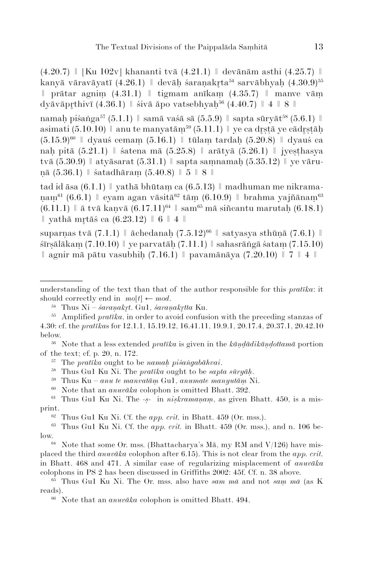$(4.20.7)$  | [Ku 102v] khananti tvā  $(4.21.1)$  | devānām asthi  $(4.25.7)$  | kanyā vāravāyatī (4.26.1)  $\parallel$  devāh śaranakrta<sup>54</sup> sarvābhyah (4.30.9)<sup>55</sup>  $\parallel$  prātar agnim  $(4.31.1)$   $\parallel$  tigmam anīkam  $(4.35.7)$   $\parallel$  manve vām dyāvāpthivī  $(4.36.1)$  | śivā āpo vatsebhyaḥ<sup>56</sup>  $(4.40.7)$  | 4 | 8 ||

namah piśaṅga<sup>57</sup> (5.1.1) || samā vaśā sā (5.5.9) || sapta sūryāt<sup>58</sup> (5.6.1) || asimati  $(5.10.10)$  | anu te manyatām<sup>59</sup>  $(5.11.1)$  | ye ca drstā ye cādrstāh  $(5.15.9)^{60}$  | dyauś cemam  $(5.16.1)$  | tūlam tardah  $(5.20.8)$  | dyauś ca nah pitā  $(5.21.1)$   $\parallel$  śatena mā  $(5.25.8)$   $\parallel$  arātyā  $(5.26.1)$   $\parallel$  jyesthasya tvā  $(5.30.9)$  | atyāsarat  $(5.31.1)$  | sapta samnamah  $(5.35.12)$  | ye vāruṇā (5.36.1) ǁ śatadhāraṃ (5.40.8) ǁ 5 ǁ 8 ǁ

tad id āsa  $(6.1.1)$  | yathā bhūtam ca  $(6.5.13)$  | madhuman me nikramanam<sup>61</sup> (6.6.1)  $\parallel$  eyam agan vāsitā<sup>62</sup> tām (6.10.9)  $\parallel$  brahma yajñānam<sup>63</sup>  $(6.11.1)$   $\parallel$   $\bar{a}$  tv $\bar{a}$  kanv $\bar{a}$   $(6.17.11)^{64}$   $\parallel$  sam<sup>65</sup> m $\bar{a}$  siñcantu marutah  $(6.18.1)$  $\parallel$  yathā mrtāś ca (6.23.12)  $\parallel$  6  $\parallel$  4  $\parallel$ 

suparņas tvā  $(7.1.1)$   $\parallel$  āchedanaḥ  $(7.5.12)^{66}$   $\parallel$  satyasya sthūṇā  $(7.6.1)$   $\parallel$ śīrṣālākaṃ (7.10.10) ǁ ye parvatāḥ (7.11.1) ǁ sahasrāṅgā śataṃ (7.15.10)  $∥$  agnir mā pātu vasubhih (7.16.1)  $∥$  pavamānāya (7.20.10)  $∥$  7  $∥$  4  $∥$ 

<sup>62</sup> Thus Gu1 Ku Ni. Cf. the *app. crit.* in Bhatt. 459 (Or. mss.).

understanding of the text than that of the author responsible for this *pratīka*: it should correctly end in  $mo[t] \leftarrow mod$ .

<sup>54</sup> Thus Ni – *śaraṇakt*. Gu1, *śaraṇaktta* Ku.

<sup>&</sup>lt;sup>55</sup> Amplified *pratīka*, in order to avoid confusion with the preceding stanzas of 4.30: cf. the *pratīka*s for 12.1.1, 15.19.12, 16.41.11, 19.9.1, 20.17.4, 20.37.1, 20.42.10 below.

<sup>56</sup> Note that a less extended *pratīka* is given in the *kāṇḍādikāṇḍottamā* portion of the text; cf. p. 20, n. 172.

<sup>57</sup> The *pratīka* ought to be *namaḥ piśaṅgabāhvai*.

<sup>58</sup> Thus Gu1 Ku Ni. The *pratīka* ought to be *sapta sūryāḥ*.

<sup>59</sup> Thus Ku – *anu te manvatāṃ* Gu1, *anumate manyutāṃ* Ni.

<sup>60</sup> Note that an *anuvāka* colophon is omitted Bhatt. 392.

<sup>61</sup> Thus Gu1 Ku Ni. The -*ṣ*- in *niṣkramaṇaṃ*, as given Bhatt. 450, is a misprint.

<sup>63</sup> Thus Gu1 Ku Ni. Cf. the *app. crit.* in Bhatt. 459 (Or. mss.), and n. 106 below.<br><sup>64</sup> Note that some Or. mss. (Bhattacharya's Mā, my RM and V/126) have mis-

placed the third *anuvāka* colophon after 6.15). This is not clear from the *app. crit.* in Bhatt. 468 and 471. A similar case of regularizing misplacement of *anuvāka*  colophons in PS 2 has been discussed in Griffiths 2002: 45f. Cf. n. 38 above.

<sup>65</sup> Thus Gu1 Ku Ni. The Or. mss. also have *sam mā* and not *saṃ mā* (as K reads).

<sup>66</sup> Note that an *anuvāka* colophon is omitted Bhatt. 494.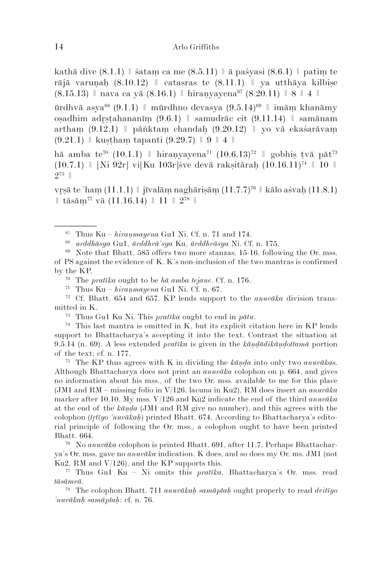kathā dive  $(8.1.1)$  | śatam ca me  $(8.5.11)$  |  $\bar{a}$  paśyasi  $(8.6.1)$  | patim te rājā varunah  $(8.10.12)$  | catasras te  $(8.11.1)$  | ya utthāya kilbise  $(8.15.13)$  | nava ca yā  $(8.16.1)$  | hiranyayena<sup>67</sup>  $(8.20.11)$  | 8 | 4 ||

ūrdhvā asya<sup>68</sup> (9.1.1) || mūrdhno devasya (9.5.14)<sup>69</sup> || imām khanāmy oṣadhim adṣṭahananīṃ (9.6.1) ǁ samudrāc cit (9.11.14) ǁ samānam artham  $(9.12.1)$  | pāṅktam chandah  $(9.20.12)$  | yo vā ekaśarāvam  $(9.21.1)$  | kustham tapanti  $(9.29.7)$  | 9 | 4 |

hā amba te<sup>70</sup> (10.1.1) || hiranyayena<sup>71</sup> (10.6.13)<sup>72</sup> || gobhis tyā pāt<sup>73</sup>  $(10.7.1)$  | [Ni 92r] vi[Ku 103r] sve devā raksitārah  $(10.16.11)^{74}$  | 10 | 275 ǁ

vrsā te 'ham (11.1.1)  $\parallel$  jīvalām naghārisām (11.7.7)<sup>76</sup>  $\parallel$  kālo aśvah (11.8.1)  $\parallel$  tāsām<sup>77</sup> vā (11.16.14)  $\parallel$  11  $\parallel$  2<sup>78</sup>  $\parallel$ 

<sup>74</sup> This last mantra is omitted in K, but its explicit citation here in KP lends support to Bhattacharya's accepting it into the text. Contrast the situation at 9.5.14 (n. 69). A less extended *pratīka* is given in the *kāṇḍādikāṇḍottamā* portion of the text; cf. n. 177.

<sup>75</sup> The KP thus agrees with K in dividing the *kāṇḍa* into only two *anuvāka*s. Although Bhattacharya does not print an *anuvāka* colophon on p. 664, and gives no information about his mss., of the two Or. mss. available to me for this place (JM1 and RM – missing folio in V/126, lacuna in Ku2), RM does insert an *anuvāka* marker after 10.10. My mss. V/126 and Ku2 indicate the end of the third *anuvāka* at the end of the *kāṇḍa* (JM1 and RM give no number), and this agrees with the colophon (*ttīyo 'nuvākaḥ*) printed Bhatt. 674. According to Bhattacharya's editorial principle of following the Or. mss., a colophon ought to have been printed Bhatt. 664.

<sup>76</sup> No *anuvāka* colophon is printed Bhatt. 691, after 11.7. Perhaps Bhattacharya's Or. mss. gave no *anuvāka* indication. K does, and so does my Or. ms. JM1 (not Ku2, RM and  $V(126)$ , and the KP supports this.

<sup>77</sup> Thus Gu1 Ku – Ni omits this *pratīka*. Bhattacharya's Or. mss. read *tāsāmvā*.

<sup>78</sup> The colophon Bhatt. 711 *anuvākaḥ samāptaḥ* ought properly to read *dvitīyo 'nuvākaḥ samāptaḥ*: cf. n. 76.

 $67$  Thus Ku – *hiranmayena* Gu1 Ni. Cf. n. 71 and 174.

<sup>68</sup> *urddhāsya* Gu1, *ūrddhvā'sya* Ku, *ūrddhvāsya* Ni. Cf. n. 175.

<sup>69</sup> Note that Bhatt. 585 offers two more stanzas, 15-16, following the Or. mss. of PS against the evidence of K. K's non-inclusion of the two mantras is confirmed by the KP.

<sup>70</sup> The *pratīka* ought to be *hā amba tejane*. Cf. n. 176.

<sup>&</sup>lt;sup>71</sup> Thus Ku –  $h$ *iranmayena* Gu1 Ni. Cf. n. 67.

<sup>72</sup> Cf. Bhatt. 654 and 657. KP lends support to the *anuvāka* division transmitted in K.

<sup>73</sup> Thus Gu1 Ku Ni. This *pratīka* ought to end in *pātu*.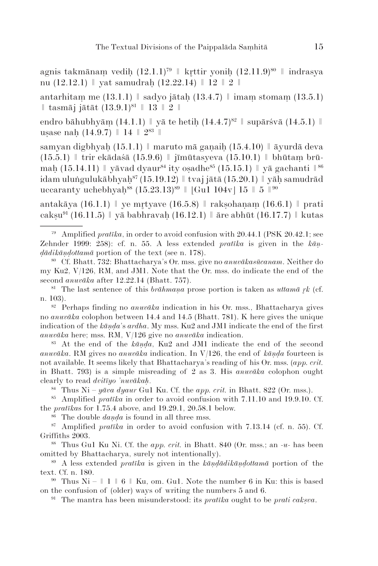agnis takmānam vedih  $(12.1.1)^{79}$  | krttir yonih  $(12.11.9)^{80}$  | indrasya nu (12.12.1)  $\parallel$  yat samudrah (12.22.14)  $\parallel$  12  $\parallel$  2  $\parallel$ 

antarhitam me  $(13.1.1)$  | sadyo jātah  $(13.4.7)$  | imam stomam  $(13.5.1)$  $\parallel$  tasmāj jātāt  $(13.9.1)^{81} \parallel 13 \parallel 2 \parallel$ 

endro bāhubhyām  $(14.1.1)$  | yā te hetih  $(14.4.7)^{82}$  | supārśvā  $(14.5.1)$  || usase nah  $(14.9.7)$  || 14 ||  $2^{83}$  ||

samyan digbhyah (15.1.1) || maruto mā ganaih (15.4.10) || āyurdā deva  $(15.5.1)$  | trir ekādaśā  $(15.9.6)$  | jīmūtasyeva  $(15.10.1)$  | bhūtam brūmah (15.14.11)  $\parallel$  yāvad dyaur<sup>84</sup> ity osadhe<sup>85</sup> (15.15.1)  $\parallel$  yā gachanti  $\parallel$ <sup>86</sup> idam uluṅgulukābhyah<sup>87</sup> (15.19.12) || tvaj jātā (15.20.1) || yāh samudrād uccaranty uchebhyah<sup>88</sup> (15.23.13)<sup>89</sup> | [Gu1 104v] 15 | 5 | <sup>90</sup>

antakāya (16.1.1)  $\parallel$  ye mrtyave (16.5.8)  $\parallel$  raksohanam (16.6.1)  $\parallel$  prati caksu<sup>91</sup> (16.11.5)  $\parallel$  ya babhravah (16.12.1)  $\parallel$  are abhūt (16.17.7)  $\parallel$  kutas

<sup>81</sup> The last sentence of this *brāhmana* prose portion is taken as *uttamā rk* (cf. n. 103).

<sup>82</sup> Perhaps finding no *anuvāka* indication in his Or. mss., Bhattacharya gives no *anuvāka* colophon between 14.4 and 14.5 (Bhatt. 781). K here gives the unique indication of the *kāṇḍa*'s *ardha*. My mss. Ku2 and JM1 indicate the end of the first *anuvāka* here; mss. RM, V/126 give no *anuvāka* indication.

<sup>83</sup> At the end of the *kāṇḍa*, Ku2 and JM1 indicate the end of the second *anuvāka*. RM gives no *anuvāka* indication. In V/126, the end of *kāṇḍa* fourteen is not available. It seems likely that Bhattacharya's reading of his Or. mss. (*app. crit.* in Bhatt. 793) is a simple misreading of 2 as 3. His *anuvāka* colophon ought clearly to read *dvitīyo 'nuvākaḥ*.

 $84$  Thus Ni – *yāva dyaur* Gu1 Ku. Cf. the *app. crit.* in Bhatt. 822 (Or. mss.).

<sup>85</sup> Amplified *pratīka* in order to avoid confusion with 7.11.10 and 19.9.10. Cf. the *pratīka*s for 1.75.4 above, and 19.29.1, 20.58.1 below.

<sup>86</sup> The double *daṇḍa* is found in all three mss.

<sup>87</sup> Amplified *pratīka* in order to avoid confusion with 7.13.14 (cf. n. 55). Cf. Griffiths 2003.

<sup>88</sup> Thus Gu1 Ku Ni. Cf. the *app. crit.* in Bhatt. 840 (Or. mss.; an *-u-* has been omitted by Bhattacharya, surely not intentionally).

<sup>89</sup> A less extended *pratīka* is given in the *kāṇḍādikāṇḍottamā* portion of the text. Cf. n. 180.

<sup>90</sup> Thus Ni –  $\parallel$  1  $\parallel$  6  $\parallel$  Ku, om. Gu1. Note the number 6 in Ku: this is based on the confusion of (older) ways of writing the numbers 5 and 6.

<sup>91</sup> The mantra has been misunderstood: its *prat* $\bar{t}$ *ka* ought to be *prati caksva*.

<sup>79</sup> Amplified *pratīka*, in order to avoid confusion with 20.44.1 (PSK 20.42.1; see Zehnder 1999: 258): cf. n. 55. A less extended *pratīka* is given in the *kāṇḍādikāṇḍottamā* portion of the text (see n. 178).

<sup>80</sup> Cf. Bhatt. 732: Bhattacharya's Or. mss. give no *anuvākasūcanam*. Neither do my Ku2, V/126, RM, and JM1. Note that the Or. mss. do indicate the end of the second *anuvāka* after 12.22.14 (Bhatt. 757).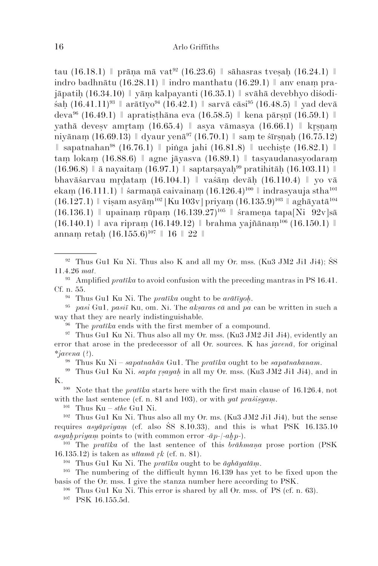tau (16.18.1)  $\parallel$  prāna mā vat<sup>92</sup> (16.23.6)  $\parallel$  sāhasras tvesah (16.24.1)  $\parallel$ indro badhnātu (16.28.11)  $\parallel$  indro manthatu (16.29.1)  $\parallel$  any enam pra $j$ āpatih (16.34.10)  $\parallel$  yām kalpayanti (16.35.1)  $\parallel$  svāhā devebhyo diśodi- $\sin (16.41.11)^{93}$  |  $\ar{\bar{\text{a}}\text{t}}\bar{\text{iv}}$ <sup>94</sup> (16.42.1) |  $\sin \pi \bar{\text{a}}$   $\ar{\bar{\text{a}}}$   $\sin^{95}$  (16.48.5) |  $\ar{\bar{\text{v}}}$  yad devā deva<sup>96</sup> (16.49.1) || apratisthāna eva (16.58.5) || kena pārsnī (16.59.1) || yathā devesy amrtam  $(16.65.4)$  | asya vāmasya  $(16.66.1)$  | krsnam niyānam (16.69.13)  $\parallel$  dyaur yenā<sup>97</sup> (16.70.1)  $\parallel$  sam te śīrsnah (16.75.12)  $\parallel$  sapatna han<sup>98</sup> (16.76.1)  $\parallel$  pinga jahi (16.81.8)  $\parallel$  ucchiste (16.82.1)  $\parallel$ taṃ lokaṃ (16.88.6) ǁ agne jāyasva (16.89.1) ǁ tasyaudanasyodaraṃ  $(16.96.8)$   $\parallel$  ā nayaitam  $(16.97.1)$   $\parallel$  saptarsayah<sup>99</sup> pratihitāh  $(16.103.11)$   $\parallel$ bhavāśarvau mrdatam (16.104.1)  $\parallel$  vaśām devāh (16.110.4)  $\parallel$  yo vā ekam  $(16.111.1)$  | śarmanā caivainam  $(16.126.4)^{100}$  | indrasyauja stha<sup>101</sup>  $(16.127.1)$  | visam asyām<sup>102</sup> [Ku 103v] priyam  $(16.135.9)^{103}$  | aghāyatā<sup>104</sup>  $(16.136.1)$  | upainam rūpam  $(16.139.27)^{105}$  | śramena tapa[Ni 92v]sā  $(16.140.1)$  | ava ripram  $(16.149.12)$  | brahma yajñānam<sup>106</sup>  $(16.150.1)$  || annam retah  $(16.155.6)^{107}$  || 16 || 22 ||

- <sup>93</sup> Amplified *pratīka* to avoid confusion with the preceding mantras in PS 16.41. Cf. n. 55.
	- <sup>94</sup> Thus Gu1 Ku Ni. The *pratīka* ought to be *arātīyoḥ*.
- <sup>95</sup> *pasi* Gu1, *pasiī* Ku, om. Ni. The *akṣara*s *cā* and *pa* can be written in such a way that they are nearly indistinguishable.
	- <sup>96</sup> The *pratīka* ends with the first member of a compound.
- $97$  Thus Gu1 Ku Ni. Thus also all my Or. mss. (Ku3 JM2 Ji1 Ji4), evidently an error that arose in the predecessor of all Or. sources. K has *javenā*, for original *\*javena* (?).

<sup>98</sup> Thus Ku Ni – *sapatnahān* Gu1. The *pratīka* ought to be *sapatnahanam*.

<sup>99</sup> Thus Gu1 Ku Ni. *sapta ṣayaḥ* in all my Or. mss. (Ku3 JM2 Ji1 Ji4), and in

K.<br><sup>100</sup> Note that the *pratīka* starts here with the first main clause of 16.126.4, not with the last sentence (cf. n. 81 and 103), or with *yat praśiṣyaṃ*.

<sup>101</sup> Thus Ku – *sthe* Gu1 Ni.

<sup>102</sup> Thus Gu1 Ku Ni. Thus also all my Or. ms. (Ku3 JM2 Ji1 Ji4), but the sense requires *asyāpriyaṃ* (cf. also ŚS 8.10.33), and this is what PSK 16.135.10  $a$ syah $p$ riyam points to (with common error *-āp-/-ahp-)*.<br><sup>103</sup> The *pratika* of the last septence of this hyaho

<sup>103</sup> The *pratīka* of the last sentence of this *brāhmaṇa* prose portion (PSK 16.135.12) is taken as *uttamā k* (cf. n. 81). 104 Thus Gu1 Ku Ni. The *pratīka* ought to be *āghāyatāṃ*.

<sup>105</sup> The numbering of the difficult hymn  $16.139$  has yet to be fixed upon the basis of the Or. mss. I give the stanza number here according to PSK.

<sup>106</sup> Thus Gu1 Ku Ni. This error is shared by all Or. mss. of PS (cf. n. 63).

<sup>107</sup> PSK 16.155.5d.

 $92$  Thus Gu1 Ku Ni. Thus also K and all my Or. mss. (Ku3 JM2 Ji1 Ji4); SS 11.4.26 *mat*.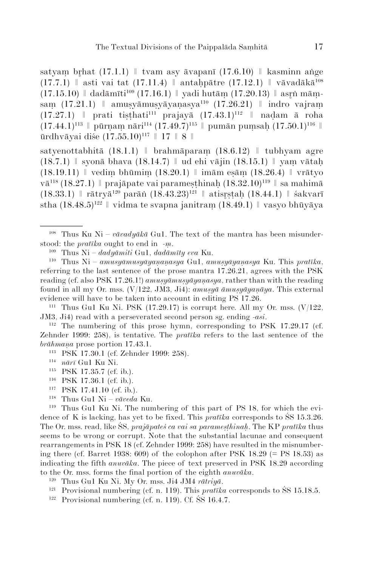satyam brhat  $(17.1.1)$  | tvam asy āvapanī  $(17.6.10)$  | kasminn ange  $(17.7.1)$  | asti vai tat  $(17.11.4)$  | antahpātre  $(17.12.1)$  | vāvadākā<sup>108</sup>  $(17.15.10)$  | dadāmīti<sup>109</sup> (17.16.1) | vadi hutām (17.20.13) | asrn māmsam (17.21.1)  $\parallel$  amusyāmusyāyaṇasya<sup>110</sup> (17.26.21)  $\parallel$  indro vajram  $(17.27.1)$  | prati tiṣṭhati<sup>111</sup> prajayā  $(17.43.1)$ <sup>112</sup> | naḍam ā roha  $(17.44.1)^{113}$   $\parallel$  pūrnam nāri<sup>114</sup>  $(17.49.7)^{115}$   $\parallel$  pumān pumsah  $(17.50.1)^{116}$   $\parallel$ ūrdhvāyai diśe  $(17.55.10)^{117}$  || 17 || 8 ||

satyenottabhitā  $(18.1.1)$  | brahmāparam  $(18.6.12)$  | tubhyam agre  $(18.7.1)$  syonā bhava  $(18.14.7)$  || ud ehi vājin  $(18.15.1)$  || yam vātah  $(18.19.11)$  | vedim bhūmim  $(18.20.1)$  | imām esām  $(18.26.4)$  | vrātvo vā<sup>118</sup> (18.27.1) | prajāpate vai paramesthinah (18.32.10)<sup>119</sup> | sa mahimā  $(18.33.1)$  | rātryā<sup>120</sup> parāṅ  $(18.43.23)$ <sup>121</sup> || atisrstah  $(18.44.1)$  || śakvarī stha  $(18.48.5)^{122}$  | vidma te svapna janitram  $(18.49.1)$  | vasyo bhūyāya

 $112$  The numbering of this prose hymn, corresponding to PSK 17.29.17 (cf. Zehnder 1999: 258), is tentative. The *pratīka* refers to the last sentence of the *brāhmaṇa* prose portion 17.43.1.

- <sup>113</sup> PSK 17.30.1 (cf. Zehnder 1999: 258).
- <sup>114</sup> *nārī* Gu1 Ku Ni.
- <sup>115</sup> PSK 17.35.7 (cf. ib.).
- <sup>116</sup> PSK 17.36.1 (cf. ib.).<br><sup>117</sup> PSK 17.41.10 (cf. ib.)
- PSK 17.41.10 (cf. ib.).
- <sup>118</sup> Thus Gu1 Ni *vāveda* Ku.

<sup>119</sup> Thus Gu1 Ku Ni. The numbering of this part of PS 18, for which the evidence of K is lacking, has yet to be fixed. This *pratīka* corresponds to ŚS 15.3.26. The Or. mss. read, like ŚS, *prajāpateś ca vai sa parameṣṭhinaḥ*. The KP *pratīka* thus seems to be wrong or corrupt. Note that the substantial lacunae and consequent rearrangements in PSK 18 (cf. Zehnder 1999: 258) have resulted in the misnumbering there (cf. Barret 1938:  $609$ ) of the colophon after PSK 18.29 (= PS 18.53) as indicating the fifth *anuvāka*. The piece of text preserved in PSK 18.29 according to the Or. mss. forms the final portion of the eighth *anuvāka*.

- <sup>120</sup> Thus Gu1 Ku Ni. My Or. mss. Ji4 JM4 *rātriyā*.
- <sup>121</sup> Provisional numbering (cf. n. 119). This *pratīka* corresponds to ŚS 15.18.5. 122 Provisional numbering (cf. n. 119). Cf. ŚS 16.4.7.
- 

<sup>&</sup>lt;sup>108</sup> Thus Ku Ni –  $v\bar{a}v\bar{a}dy\bar{a}k\bar{a}$  Gu1. The text of the mantra has been misunderstood: the *pratīka* ought to end in *-ṃ*.

<sup>109</sup> Thus Ni – *dadyāmiti* Gu1, *dadāmīty eva* Ku.

<sup>110</sup> Thus Ni – *amusyāmusyāyaṇaṇasya* Gu1, *amuṣyāyaṇasya* Ku. This *pratīka*, referring to the last sentence of the prose mantra 17.26.21, agrees with the PSK reading (cf. also PSK 17.26.1!) *amusyāmusyāyanasya*, rather than with the reading found in all my Or. mss. (V/122, JM3, Ji4): *amuṣyā āmuṣyāyaṇāya*. This external evidence will have to be taken into account in editing PS 17.26.

<sup>&</sup>lt;sup>111</sup> Thus Gu1 Ku Ni. PSK  $(17.29.17)$  is corrupt here. All my Or. mss.  $(V/122, W)$ JM3, Ji4) read with a perseverated second person sg. ending *-asi*.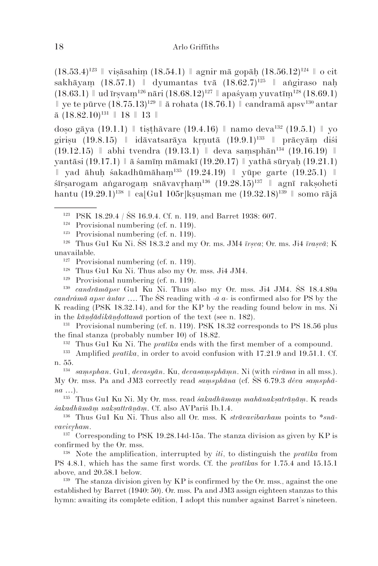(18.53.4)123 ǁ viṣāsahiṃ (18.54.1) ǁ agnir mā gopāḥ (18.56.12)124 ǁ o cit sakhā yam  $(18.57.1)$  | dyumantas tvā  $(18.62.7)^{125}$  | angiraso nah  $(18.63.1)$  | ud  $\text{Trsvam}^{126}$  nāri  $(18.68.12)^{127}$  | apaśyam yuvatīm $^{128}$  (18.69.1)  $\parallel$  ye te pūrve  $(18.75.13)^{129} \parallel$   $\bar{a}$  rohata  $(18.76.1) \parallel$  candramā apsv<sup>130</sup> antar  $\bar{a}$  (18.82.10)<sup>131</sup> | 18 | 13 |

doṣo gāya (19.1.1)  $\parallel$  tiṣṭhāvare (19.4.16)  $\parallel$  namo deva<sup>132</sup> (19.5.1)  $\parallel$  yo girisu (19.8.15)  $\parallel$  idāvatsarāya krnutā (19.9.1)<sup>133</sup>  $\parallel$  prācyām diśi (19.12.15) ǁ abhi tvendra (19.13.1) ǁ deva saṃsphān134 (19.16.19) ǁ yantāsi (19.17.1) ǁ ā śamīṃ māmakī (19.20.17) ǁ yathā sūryaḥ (19.21.1)  $\parallel$  yad āhuh śakadhūmāham<sup>135</sup> (19.24.19)  $\parallel$  yūpe garte (19.25.1)  $\parallel$ śīrṣarogam aṅgarogaṃ snāvavhaṃ136 (19.28.15)137 ǁ agnī rakṣoheti hantu (19.29.1)<sup>138</sup>  $\|$  ca[Gu1 105r]kṣuṣman me (19.32.18)<sup>139</sup>  $\|$  somo rājā

<sup>130</sup> *candrāmāpsv* Gu1 Ku Ni. Thus also my Or. mss. Ji4 JM4. ŚS 18.4.89a *candrámā apsv àntar* …. The ŚS reading with *-ā a-* is confirmed also for PS by the K reading (PSK 18.32.14), and for the KP by the reading found below in ms. Ni in the *kāṇḍādikāṇḍottamā* portion of the text (see n. 182).

<sup>131</sup> Provisional numbering (cf. n. 119). PSK 18.32 corresponds to PS 18.56 plus the final stanza (probably number 10) of 18.82.

<sup>132</sup> Thus Gu1 Ku Ni. The *pratīka* ends with the first member of a compound.

<sup>134</sup> *saṃsphan*. Gu1, *devasyān*. Ku, *devasaṃsphāṃn*. Ni (with *virāma* in all mss.).

My Or. mss. Pa and JM3 correctly read *saṃsphāna* (cf. ŚS 6.79.3 *déva saṃsphāna* …).

<sup>135</sup> Thus Gu1 Ku Ni. My Or. mss. read *śakadhūmaṃ mahānakṣatrāṇāṃ*. K reads *śakadhūmāṃ nakṣattrāṇāṃ*. Cf. also AVPariś Ib.1.4.

<sup>136</sup> Thus Gu1 Ku Ni. Thus also all Or. mss. K *strāvavibarham* points to *\*snāvavivham*.

 $137$  Corresponding to PSK 19.28.14d-15a. The stanza division as given by KP is confirmed by the Or. mss.

<sup>138</sup> Note the amplification, interrupted by *iti*, to distinguish the *pratīka* from PS 4.8.1, which has the same first words. Cf. the *pratīka*s for 1.75.4 and 15.15.1 above, and 20.58.1 below.

<sup>139</sup> The stanza division given by KP is confirmed by the Or. mss., against the one established by Barret (1940: 50). Or. mss. Pa and JM3 assign eighteen stanzas to this hymn: awaiting its complete edition, I adopt this number against Barret's nineteen.

<sup>123</sup> PSK 18.29.4 / ŚS 16.9.4. Cf. n. 119, and Barret 1938: 607.

 $124$  Provisional numbering (cf. n. 119).

 $125$  Provisional numbering (cf. n. 119).

<sup>126</sup> Thus Gu1 Ku Ni. ŚS 18.3.2 and my Or. ms. JM4 *īrṣva*; Or. ms. Ji4 *īraṣvā*; K unavailable.

<sup>&</sup>lt;sup>127</sup> Provisional numbering (cf. n. 119).

<sup>128</sup> Thus Gu1 Ku Ni. Thus also my Or. mss. Ji4 JM4.

<sup>129</sup> Provisional numbering (cf. n. 119).

<sup>133</sup> Amplified *pratīka*, in order to avoid confusion with 17.21.9 and 19.51.1. Cf. n. 55.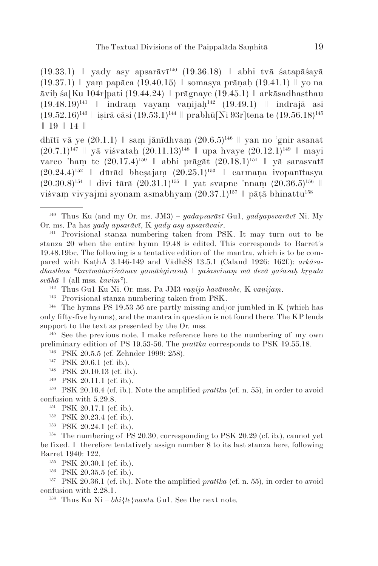(19.33.1)  $\parallel$  yady asy apsarāvī<sup>140</sup> (19.36.18)  $\parallel$  abhi tvā śatapāśayā  $(19.37.1)$  | yam papāca  $(19.40.15)$  | somasya prānah  $(19.41.1)$  | yo na āviḥ śa[Ku 104r]pati (19.44.24) ǁ prāgnaye (19.45.1) ǁ arkāsadhasthau (19.48.19)141 ǁ indraṃ vayaṃ vaṇijaḥ142 (19.49.1) ǁ indrajā asi  $(19.52.16)^{143}$  || isirā cāsi  $(19.53.1)^{144}$  || prabhū[Ni 93r]tena te  $(19.56.18)^{145}$ ǁ 19 ǁ 14 ǁ

dhītī vā ye  $(20.1.1)$  | sam jānīdhvam  $(20.6.5)^{146}$  | yan no 'gnir asanat  $(20.7.1)^{147}$  | yā viśvatah  $(20.11.13)^{148}$  | upa hvaye  $(20.12.1)^{149}$  | mayi varco 'ham te  $(20.17.4)^{150}$  || abhi prāgāt  $(20.18.1)^{151}$  || yā sarasvatī  $(20.24.4)^{152}$   $\parallel$  dūrād bhesajam  $(20.25.1)^{153}$   $\parallel$  carmana ivopanītasya  $(20.30.8)^{154}$  | divi tārā  $(20.31.1)^{155}$  | yat svapne 'nnam  $(20.36.5)^{156}$  | viśvam vivyajmi syonam asmabhyam  $(20.37.1)^{157}$  || pātā bhinattu<sup>158</sup>

<sup>145</sup> See the previous note. I make reference here to the numbering of my own preliminary edition of PS 19.53-56. The *pratīka* corresponds to PSK 19.55.18.

<sup>146</sup> PSK 20.5.5 (cf. Zehnder 1999: 258).

<sup>147</sup> PSK 20.6.1 (cf. ib.).

- <sup>148</sup> PSK 20.10.13 (cf. ib.).
- <sup>149</sup> PSK 20.11.1 (cf. ib.).

<sup>151</sup> PSK 20.17.1 (cf. ib.).

 $152$  PSK 20.23.4 (cf. ib.).

<sup>153</sup> PSK 20.24.1 (cf. ib.).

<sup>154</sup> The numbering of PS 20.30, corresponding to PSK 20.29 (cf. ib.), cannot yet be fixed. I therefore tentatively assign number 8 to its last stanza here, following Barret 1940: 122.

<sup>155</sup> PSK 20.30.1 (cf. ib.).

<sup>156</sup> PSK 20.35.5 (cf. ib.).

<sup>157</sup> PSK 20.36.1 (cf. ib.). Note the amplified *pratīka* (cf. n. 55), in order to avoid confusion with 2.28.1.

<sup>158</sup> Thus Ku Ni –  $bh$ <sup> $i$ </sup>{ $te$ }*nantu* Gu1. See the next note.

<sup>140</sup> Thus Ku (and my Or. ms. JM3) – *yadapsarāvī* Gu1, *yadyapsvarāvī* Ni. My Or. ms. Pa has *yady apsarāvī*, K *yady asy apsarāvair*.

<sup>141</sup> Provisional stanza numbering taken from PSK. It may turn out to be stanza 20 when the entire hymn 19.48 is edited. This corresponds to Barret's 19.48.19bc. The following is a tentative edition of the mantra, which is to be compared with KaṭhĀ 3.146-149 and VādhŚS 13.5.1 (Caland 1926: 162f.): *arkāsadhasthau \*kavīmātariśvānau yamāṅgirasaḥ ǀ yaśasvinaṃ mā devā yaśasaḥ kṇuta*   $sv\bar{a}h\bar{a} \parallel$  (all mss. *kavim*°).

<sup>142</sup> Thus Gu1 Ku Ni. Or. mss. Pa JM3 *vaṇijo havāmahe*, K *vaṇijaṃ*.

<sup>143</sup> Provisional stanza numbering taken from PSK.

<sup>&</sup>lt;sup>144</sup> The hymns PS 19.53-56 are partly missing and/or jumbled in K (which has only fifty-five hymns), and the mantra in question is not found there. The KP lends support to the text as presented by the Or. mss.

<sup>150</sup> PSK 20.16.4 (cf. ib.). Note the amplified *pratīka* (cf. n. 55), in order to avoid confusion with 5.29.8.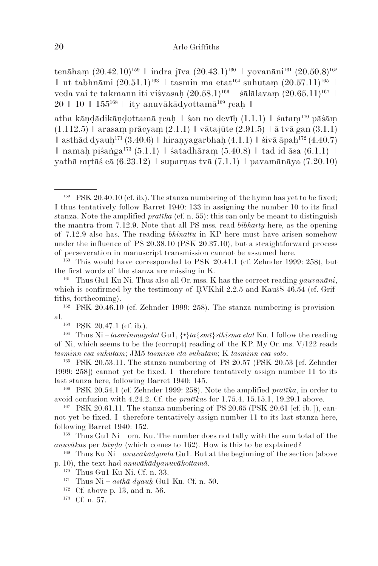tenāham  $(20.42.10)^{159}$  | indra jīva  $(20.43.1)^{160}$  | yovanāni<sup>161</sup>  $(20.50.8)^{162}$  $∥$  ut tabhnāmi (20.51.1)<sup>163</sup>  $∥$  tasmin ma etat<sup>164</sup> suhutam (20.57.11)<sup>165</sup>  $∥$ veda vai te takmann iti viśvasah  $(20.58.1)^{166}$  || śālālavam  $(20.65.11)^{167}$  ||  $20 \parallel 10 \parallel 155^{168} \parallel$  ity anuvākādyottamā<sup>169</sup> reah  $\parallel$ 

atha kāṇḍādikāṇḍottamā caḥ ǁ śan no devīḥ (1.1.1) ǁ śataṃ170 pāśāṃ  $(1.112.5)$  | arasam prācyam  $(2.1.1)$  | vātajūte  $(2.91.5)$  | ā tvā gan  $(3.1.1)$  $\parallel$  asthād dyauh<sup>171</sup> (3.40.6)  $\parallel$  hiranyagarbhah (4.1.1)  $\parallel$  śivā āpah<sup>172</sup> (4.40.7)  $∥$  namah piśaṅga<sup>173</sup> (5.1.1)  $∥$  śatadhāram (5.40.8)  $∥$  tad id āsa (6.1.1)  $∥$ vathā mrtāś cā  $(6.23.12)$  | suparnas tvā  $(7.1.1)$  | pavamānāya  $(7.20.10)$ 

<sup>164</sup> Thus Ni – *tasminmayetat* Gu1,  $\{\cdot\}$ *ta*{*smī*}*sthisma etat* Ku. I follow the reading of Ni, which seems to be the (corrupt) reading of the KP. My Or. ms.  $V/122$  reads *tasminn eṣa suhutam*; JM5 *tasminn eta suhutam*; K *tasminn eṣa soto*.

<sup>165</sup> PSK 20.53.11. The stanza numbering of PS 20.57 (PSK 20.53 [cf. Zehnder 1999: 258]) cannot yet be fixed. I therefore tentatively assign number 11 to its last stanza here, following Barret 1940: 145.

<sup>166</sup> PSK 20.54.1 (cf. Zehnder 1999: 258). Note the amplified *pratīka*, in order to avoid confusion with 4.24.2. Cf. the *pratīka*s for 1.75.4, 15.15.1, 19.29.1 above.

<sup>168</sup> Thus Gu1 Ni – om. Ku. The number does not tally with the sum total of the *anuvāka*s per *kāṇḍa* (which comes to 162). How is this to be explained?

<sup>169</sup> Thus Ku Ni – *anuvākādyonta* Gu1. But at the beginning of the section (above p. 10), the text had *anuvākādyanuvākottamā*.

- <sup>171</sup> Thus Ni *asthā dyauḥ* Gu1 Ku. Cf. n. 50.
- <sup>172</sup> Cf. above p. 13, and n. 56. <sup>173</sup> Cf. n. 57.

<sup>&</sup>lt;sup>159</sup> PSK 20.40.10 (cf. ib.). The stanza numbering of the hymn has yet to be fixed; I thus tentatively follow Barret 1940: 133 in assigning the number 10 to its final stanza. Note the amplified *pratīka* (cf. n. 55): this can only be meant to distinguish the mantra from 7.12.9. Note that all PS mss. read *bibharty* here, as the opening of 7.12.9 also has. The reading *bhinattu* in KP here must have arisen somehow under the influence of PS 20.38.10 (PSK 20.37.10), but a straightforward process of perseveration in manuscript transmission cannot be assumed here.

 $160$  This would have corresponded to PSK 20.41.1 (cf. Zehnder 1999: 258), but the first words of the stanza are missing in K. 161 Thus Gu1 Ku Ni. Thus also all Or. mss. K has the correct reading *yauvanāni*,

which is confirmed by the testimony of RVKhil  $2.2.5$  and Kaus's  $46.54$  (cf. Griffiths, forthcoming).

<sup>162</sup> PSK 20.46.10 (cf. Zehnder 1999: 258). The stanza numbering is provisional.<br><sup>163</sup> PSK 20.47.1 (cf. ib.).

<sup>&</sup>lt;sup>167</sup> PSK 20.61.11. The stanza numbering of PS 20.65 (PSK 20.61 [cf. ib. ]), cannot yet be fixed. I therefore tentatively assign number 11 to its last stanza here, following Barret 1940: 152.

<sup>170</sup> Thus Gu1 Ku Ni. Cf. n. 33.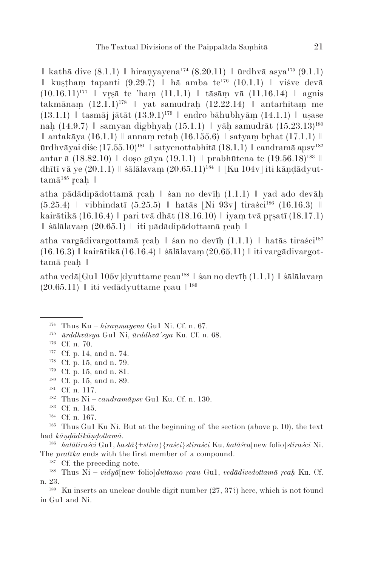$\parallel$  kathā dive (8.1.1)  $\parallel$  hiranyayena<sup>174</sup> (8.20.11)  $\parallel$  ūrdhvā asya<sup>175</sup> (9.1.1) ǁ kuṣṭhaṃ tapanti (9.29.7) ǁ hā amba te176 (10.1.1) ǁ viśve devā  $(10.16.11)^{177}$  | vrsā te 'ham  $(11.1.1)$  | tāsām vā  $(11.16.14)$  | agnis takmānam  $(12.1.1)^{178}$  | yat samudrah  $(12.22.14)$  | antarhitam me  $(13.1.1)$  | tasmāj jātāt  $(13.9.1)^{179}$  | endro bāhubhyām  $(14.1.1)$  | usase nah (14.9.7) || samyan digbhyah (15.1.1) || yāh samudrāt  $(15.23.13)^{180}$  $∥$  antakāya (16.1.1)  $∥$  annam retah (16.155.6)  $∥$  satyam brhat (17.1.1)  $∥$ ūrdhvāvai diše  $(17.55.10)^{181}$  || satvenottabhitā  $(18.1.1)$  || candramā apsv<sup>182</sup> antar ā  $(18.82.10)$  | doso gāya  $(19.1.1)$  | prabhūtena te  $(19.56.18)^{183}$  || dhītī vā ye (20.1.1)  $\parallel$  śālālavam (20.65.11)<sup>184</sup>  $\parallel$  [Ku 104v] iti kāndādyut- $\tan$ ā<sup>185</sup> reah ||

atha pādādipādottamā caḥ ǁ śan no devīḥ (1.1.1) ǁ yad ado devāḥ  $(5.25.4)$  | vibhindatī  $(5.25.5)$  | hatās [Ni 93v] tiraści<sup>186</sup> (16.16.3) | kairātikā (16.16.4)  $\parallel$  pari tvā dhāt (18.16.10)  $\parallel$  iyam tvā prsatī (18.17.1) ǁ śālālavaṃ (20.65.1) ǁ iti pādādipādottamā caḥ ǁ

atha vargādivargottamā reah  $\parallel$  śan no devīh (1.1.1)  $\parallel$  hatās tiraści<sup>187</sup> (16.16.3) ǁ kairātikā (16.16.4) ǁ śālālavaṃ (20.65.11) ǁ iti vargādivargottamā reah ||

atha vedā[Gu1 105v]dyuttame reau<sup>188</sup> || śan no devīh (1.1.1) || śālālavam  $(20.65.11)$   $\parallel$  iti vedadyuttame reau  $\parallel$ <sup>189</sup>

- <sup>176</sup> Cf. n. 70.<br><sup>177</sup> Cf. p. 14, and n. 74.
- <sup>178</sup> Cf. p. 15, and n. 79.
- <sup>179</sup> Cf. p. 15, and n. 81.
- <sup>180</sup> Cf. p. 15, and n. 89.

- <sup>182</sup> Thus Ni *candramāpsv* Gu1 Ku. Cf. n. 130.
- <sup>183</sup> Cf. n. 145.

<sup>185</sup> Thus Gu1 Ku Ni. But at the beginning of the section (above p. 10), the text had *kāṇḍādikāṇḍottamā*.

<sup>186</sup> *hatātiraści* Gu1, *hastā*{+*stira*}{*raści*}*stiraści* Ku, *hatāśca*[new folio]*stiraści* Ni. The *pratīka* ends with the first member of a compound.

<sup>187</sup> Cf. the preceding note.

<sup>&</sup>lt;sup>174</sup> Thus Ku –  $h$ *iranmayena* Gu1 Ni. Cf. n. 67.

<sup>175</sup> *ūrddhvāsya* Gu1 Ni, *ūrddhvā'sya* Ku. Cf. n. 68.

<sup>181</sup> Cf. n. 117.

<sup>184</sup> Cf. n. 167.

<sup>188</sup> Thus Ni – *vidyā*[new folio]*duttamo ṛcau* Gu1, *vedādivedottamā ṛcaḥ* Ku. Cf. n. 23.

<sup>189</sup> Ku inserts an unclear double digit number (27, 37?) here, which is not found in Gu1 and Ni.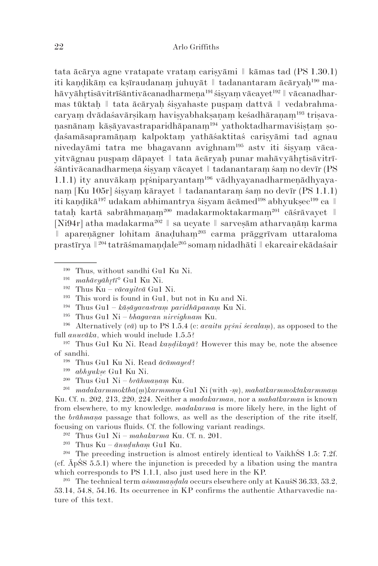tata ācārya agne vratapate vrataṃ cariṣyāmi ǁ kāmas tad (PS 1.30.1) iti kandikām ca kṣīraudanam juhuyāt || tadanantaram ācāryah<sup>190</sup> mahāvyāhrtisāvitrīśāntivācanadharmena<sup>191</sup> śisyam vācayet<sup>192</sup> || vācanadharmas tūktaḥ ǁ tata ācāryaḥ śiṣyahaste puṣpaṃ dattvā ǁ vedabrahmacaryam dvādaśavārsikam havisyabhakṣanam keśadhāranam<sup>193</sup> triṣavanas nā nam kāsāyavastraparidhāpanam<sup>194</sup> yathoktadharmaviśistam soḍa śamāsapramāṇaṃ kalpoktaṃ yathāśaktitaś cariṣyāmi tad agnau nivedayāmi tatra me bhagavann avighnam<sup>195</sup> astv iti śisyam vācayitvāgnau puṣpaṃ dāpayet ǁ tata ācāryaḥ punar mahāvyāhtisāvitrīśāntivācanadharmena śiṣyam vācayet || tadanantaram śam no devīr (PS 1.1.1) ity anuvākam prśniparyantam<sup>196</sup> vādhyayanadharmenādhyayanaṃ [Ku 105r] śiṣyaṃ kārayet ǁ tadanantaraṃ śaṃ no devīr (PS 1.1.1) iti kandikā $^{197}$  udakam abhimantrya śisyam ācāmed $^{198}$  abhyuk $\sec^{199}$  ca  $\parallel$ tatah kartā sabrāhmanam<sup>200</sup> madakarmoktakarmam<sup>201</sup> cāśrāvayet  $\parallel$ [Ni94r] atha madakarma202 ǁ sa ucyate ǁ sarveṣām atharvaṇāṃ karma aparenāgner lohitam ānaduham<sup>203</sup> carma prāggrīvam uttaraloma prastī rya ǁ204 tatrāśmamaṇḍale205 somaṃ nidadhāti ǁ ekarcair ekādaśair

- <sup>194</sup> Thus Gu1 *kāṣāyavastraṃ paridhāpanaṃ* Ku Ni.
- <sup>195</sup> Thus Gu1 Ni *bhagavan nirvighnam* Ku.

<sup>196</sup> Alternatively (*vā*) up to PS 1.5.4 (c: *avaitu pśni śevalaṃ*), as opposed to the full *anuvāka*, which would include 1.5.5?

<sup>197</sup> Thus Gu1 Ku Ni. Read *kaṇḍikayā*? However this may be, note the absence of sandhi.

- <sup>198</sup> Thus Gu1 Ku Ni. Read *ācāmayed*?
- <sup>199</sup> *abhyukṣe* Gu1 Ku Ni.
- <sup>200</sup> Thus Gu1 Ni *brāhmaṇaṃ* Ku.

<sup>201</sup> *madakarmmoktha*(*ṃ*)*karmmaṃ* Gu1 Ni (with -*ṃ*), *mahatkarmmoktakarmmaṃ* Ku. Cf. n. 202, 213, 220, 224. Neither a *madakarman*, nor a *mahatkarman* is known from elsewhere, to my knowledge. *madakarma* is more likely here, in the light of the *brāhmaṇa* passage that follows, as well as the description of the rite itself, focusing on various fluids. Cf. the following variant readings.

<sup>202</sup> Thus Gu1 Ni – *mahakarma* Ku. Cf. n. 201.

<sup>203</sup> Thus Ku – *ānuḍuhaṃ* Gu1 Ku.

<sup>204</sup> The preceding instruction is almost entirely identical to VaikhŚS 1.5: 7.2f. (cf. ĀpŚS 5.5.1) where the injunction is preceded by a libation using the mantra which corresponds to PS 1.1.1, also just used here in the KP.

<sup>205</sup> The technical term *aśmamaṇḍala* occurs elsewhere only at KauśS 36.33, 53.2, 53.14, 54.8, 54.16. Its occurrence in KP confirms the authentic Atharvavedic nature of this text.

<sup>190</sup> Thus, without sandhi Gu1 Ku Ni.

<sup>191</sup> *mahāvyāhtī*° Gu1 Ku Ni.

<sup>192</sup> Thus Ku – *vācayitvā* Gu1 Ni.

<sup>193</sup> This word is found in Gu1, but not in Ku and Ni.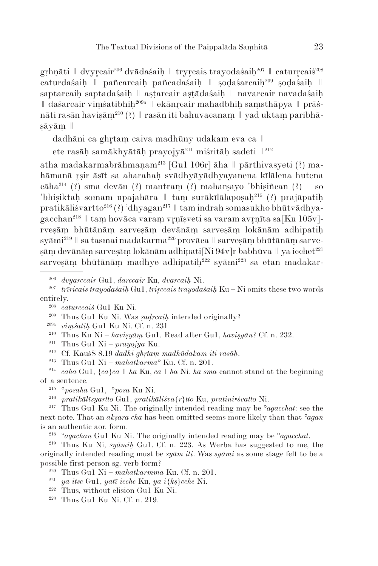gṛhṇāti ǁ dvycair206 dvādaśaiḥ ǁ trycais trayodaśaiḥ207 ǁ caturcaiś208 caturdaśaih || pañcarcaih pañcadaśaih || sodaśarcaih<sup>209</sup> sodaśaih || saptarcaih saptadaśaih || astarcair astādaśaih || navarcair navadaśaih ǁ daśarcair viṃśatibhiḥ209a ǁ ekāncair mahadbhiḥ saṃsthāpya ǁ prāśnāti rasān havisām<sup>210</sup> (?) || rasān iti bahuvacanam || yad uktam paribhāṣā yāṃ ǁ

dadhāni ca ghṛtam caiva madhūny udakam eva ca  $\mathbb I$ 

ete rasāh samākhyātāh prayojyā<sup>211</sup> miśritāh sadeti  $\mathbb{I}^{212}$ 

atha madakarmabrāhmanam<sup>213</sup> [Gu1 106r] āha  $\parallel$  pārthivasyeti (?) mahāmanā rsir āsīt sa aharahah svādhyāyādhyayanena kīlālena hutena  $c\bar{a}ha^{214}$  (?) sma devān (?) mantram (?) maharsayo 'bhisiñcan (?)  $\parallel$  so 'bhisiktah somam upajahāra || tam surākīlālaposaḥ<sup>215</sup> (?) prajāpatiḥ pra tikāliśvartto<sup>216</sup> (?) 'dhyagan<sup>217</sup> || tam indrah somasukho bhūtvādhyagacchan<sup>218</sup> | tam hovāca varam vrnīsveti sa varam avrnīta sa $[Ku 105v]$ rveṣāṃ bhūtānāṃ sarveṣāṃ devānāṃ sarveṣāṃ lokānām adhipatiḥ syāmi<sup>219</sup> || sa tasmai madakarma<sup>220</sup> provāca || sarvesām bhūtānām sarveṣāṃ devānāṃ sarveṣāṃ lokānām adhipati[Ni 94v]r babhūva ǁ ya icchet221 sarvesām bhūtānām madhye adhipatih<sup>222</sup> syāmi<sup>223</sup> sa etan madakar-

<sup>213</sup> Thus Gu1 Ni – *mahatkarma°* Ku. Cf. n. 201.

- <sup>221</sup> *ya itse* Gu1, *yatī icche* Ku, *ya i*{*kṣ*}*cche* Ni.
- <sup>222</sup> Thus, without elision Gu1 Ku Ni.
- $223$  Thus Gu1 Ku Ni. Cf. n. 219.

<sup>206</sup> *dvyarccair* Gu1, *darccair* Ku, *dvarcaiḥ* Ni.

<sup>207</sup> *trīricais trayodaśaiḥ* Gu1, *triccais trayodaśaiḥ* Ku – Ni omits these two words entirely.

<sup>208</sup> *caturccaiś* Gu1 Ku Ni.

<sup>209</sup> Thus Gu1 Ku Ni. Was *ṣaḍcaiḥ* intended originally?

<sup>209</sup>a *viṃśatiḥ* Gu1 Ku Ni. Cf. n. 231

<sup>210</sup> Thus Ku Ni – *haviṣyāṃ* Gu1. Read after Gu1, *haviṣyān*? Cf. n. 232.

<sup>211</sup> Thus Gu1 Ni – *prayojya* Ku.

<sup>212</sup> Cf. KauśS 8.19 *dadhi ghṛtaṃ madhūdakam iti rasāḥ*.

<sup>&</sup>lt;sup>214</sup> *caha* Gu1,  $\{c\bar{a}\}c\bar{a} \parallel h\bar{a}$  Ku,  $c\bar{a} \parallel h\bar{a}$  Ni. *ha sma* cannot stand at the beginning of a sentence.

<sup>215</sup> °*posaha* Gu1, °*posa* Ku Ni.

<sup>216</sup> *pratikālīsyartto* Gu1, *pratikāliśva*{*r*}*tto* Ku, *pratini*•*śvatto* Ni.

<sup>217</sup> Thus Gu1 Ku Ni. The originally intended reading may be °*agacchat*: see the next note. That an *akṣara cha* has been omitted seems more likely than that *°agan* is an authentic aor. form.

<sup>218</sup> °*agachan* Gu1 Ku Ni. The originally intended reading may be °*agacchat*.

<sup>219</sup> Thus Ku Ni, *syāmiḥ* Gu1. Cf. n. 223. As Werba has suggested to me, the originally intended reading must be *syām iti*. Was *syāmi* as some stage felt to be a possible first person sg. verb form?

<sup>220</sup> Thus Gu1 Ni – *mahatkarmma* Ku. Cf. n. 201.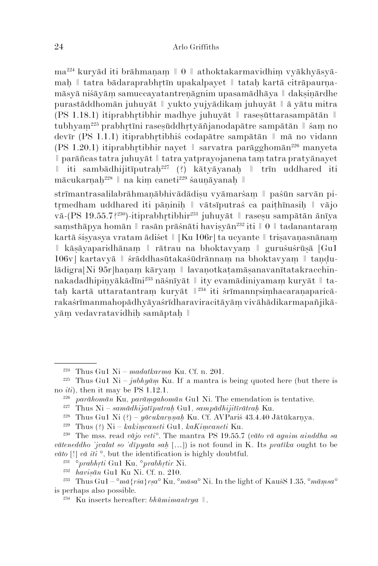ma224 kuryād iti brāhmaṇaṃ ǁ 0 ǁ athoktakarmavidhiṃ vyākhyāsyāmaḥ ǁ tatra bādaraprabhtīn upakalpayet ǁ tataḥ kartā citrāpaurṇamāsyā niśāyāṃ samuccayatantreṇāgnim upasamādhāya ǁ dakṣiṇārdhe purastāddhomān juhuyāt ǁ yukto yujyādikaṃ juhuyāt ǁ ā yātu mitra (PS 1.18.1) itiprabhrtibhir madhye juhuyāt  $\parallel$  rasesūttarasampātān  $\parallel$ tubhyam<sup>225</sup> prabhrtīni rasesūddhrtyāñjanodapātre sampātān || śam no devīr (PS 1.1.1) itiprabhtibhiś codapātre sampātān ǁ mā no vidann (PS 1.20.1) itiprabhrtibhir nayet  $\parallel$  sarvatra parāgghomān<sup>226</sup> manyeta ǁ parāñcas tatra juhuyāt ǁ tatra yatprayojanena taṃ tatra pratyānayet  $\parallel$  iti sambādhijitīputrah<sup>227</sup> (?) kātyāyanah  $\parallel$  trīn uddhared iti mācukarṇaḥ228 ǁ na kiṃ caneti229 śauṇāyanaḥ ǁ

strīmantrasalilabrāhmaṇābhivādādiṣu vyāmarśam || paśūn sarvān pitrmedham uddhared iti pāṇinih  $\parallel$  vātsīputras ca paithīnasih  $\parallel$  vājo vā-(PS 19.55.7?<sup>230</sup>)-itiprabhrtibhir<sup>231</sup> juhuyāt  $\parallel$  rasesu sampātān ānīya samsthāpya homān || rasān prāśnāti havisyān<sup>232</sup> iti || 0 || tadanantaram kartā śiṣyasya vratam ādiśet ǁ [Ku 106r] ta ucyante ǁ triṣavaṇasnānaṃ ǁ kāṣāyaparidhānaṃ ǁ rātrau na bhoktavyaṃ ǁ guruśuśrūṣā [Gu1 106v] kartavyā ǁ śrāddhasūtakaśūdrānnaṃ na bhoktavyaṃ ǁ taṇḍulādigra[Ni 95r]hanam kāryam || lavanotkatamāsanavanītatakracchinnakadadhipinyākādīni<sup>233</sup> nāśnīyāt || ity evamādiniyamam kuryāt || tatah kartā uttaratantram kuryāt  $\mathbb{I}^{234}$  iti śrīmannrsimhacaranaparicārakaśrīmanmahopādhyāyaśrīdharaviracitāyām vivāhādikarmapañjikāvām vedavratavidhih samāptah  $\parallel$ 

<sup>224</sup> Thus Gu1 Ni – *madatkarma* Ku. Cf. n. 201.

<sup>&</sup>lt;sup>225</sup> Thus Gu1 Ni –  $jubhy\bar{a}m$  Ku. If a mantra is being quoted here (but there is no *iti*), then it may be PS 1.12.1.

<sup>226</sup> *parāhomān* Ku, *parāṃgahomān* Gu1 Ni. The emendation is tentative.

<sup>227</sup> Thus Ni – *samādhijatīputraḥ* Gu1, *sampādhijitīrātraḥ* Ku.

<sup>228</sup> Thus Gu1 Ni (?) – *yācukarṇṇaḥ* Ku. Cf. AVPariś 43.4.40 Jātūkarṇya.

<sup>229</sup> Thus (?) Ni – *kakiṃcaneti* Gu1, *kaKiṃcaneti* Ku.

<sup>230</sup> The mss. read *vājo veti°*. The mantra PS 19.55.7 (*vāto vā agnim ainddha sa vāteneddho 'jvalat so 'dīpyata saḥ* […]) is not found in K. Its *pratīka* ought to be *vāto* [!] *vā iti* °, but the identification is highly doubtful.

<sup>231</sup> °*prabhṛti* Gu1 Ku, °*prabhṛtir* Ni.

<sup>232</sup> *haviṣān* Gu1 Ku Ni. Cf. n. 210.

<sup>&</sup>lt;sup>233</sup> Thus Gu1 –  $\degree$ *mā*{*rśa*}*rsa*<sup>°</sup> Ku,  $\degree$ *māsa*<sup>°</sup> Ni. In the light of KauśS 1.35,  $\degree$ *māmsa*<sup>°</sup> is perhaps also possible.

<sup>234</sup> Ku inserts hereafter: *bhūmimantrya* ǁ.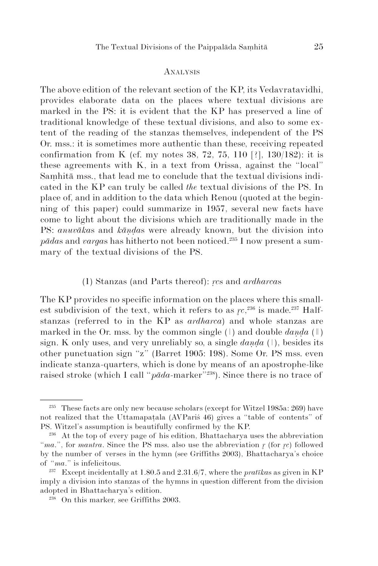#### **ANALYSIS**

The above edition of the relevant section of the KP, its Vedavratavidhi, provides elaborate data on the places where textual divisions are marked in the PS: it is evident that the KP has preserved a line of traditional knowledge of these textual divisions, and also to some extent of the reading of the stanzas themselves, independent of the PS Or. mss.: it is sometimes more authentic than these, receiving repeated confirmation from K (cf. my notes 38, 72, 75, 110 [?], 130/182): it is these agreements with K, in a text from Orissa, against the "local" Saṃhitā mss., that lead me to conclude that the textual divisions indicated in the KP can truly be called *the* textual divisions of the PS. In place of, and in addition to the data which Renou (quoted at the beginning of this paper) could summarize in 1957, several new facts have come to light about the divisions which are traditionally made in the PS: *anuvāka*s and *kāṇḍa*s were already known, but the division into *pāda*s and *varga*s has hitherto not been noticed.235 I now present a summary of the textual divisions of the PS.

#### (1) Stanzas (and Parts thereof): *ṛc*s and *ardharca*s

The KP provides no specific information on the places where this smallest subdivision of the text, which it refers to as  $\iota$ <sup>236</sup> is made.<sup>237</sup> Halfstanzas (referred to in the KP as *ardharca*) and whole stanzas are marked in the Or. mss. by the common single (ǀ) and double *daṇḍa* (ǁ) sign. K only uses, and very unreliably so, a single *danda* ( $\vert$ ), besides its other punctuation sign "z" (Barret 1905: 198). Some Or. PS mss. even indicate stanza-quarters, which is done by means of an apostrophe-like raised stroke (which I call " $p\bar{a}da$ -marker"<sup>238</sup>). Since there is no trace of

<sup>235</sup> These facts are only new because scholars (except for Witzel 1985a: 269) have not realized that the Uttamapaṭala (AVPariś 46) gives a "table of contents" of PS. Witzel's assumption is beautifully confirmed by the KP.

<sup>236</sup> At the top of every page of his edition, Bhattacharya uses the abbreviation "*ma*.", for *mantra*. Since the PS mss. also use the abbreviation  $r$  (for  $rc$ ) followed by the number of verses in the hymn (see Griffiths 2003), Bhattacharya's choice of "*ma*." is infelicitous.

<sup>237</sup> Except incidentally at 1.80.5 and 2.31.6/7, where the *pratīka*s as given in KP imply a division into stanzas of the hymns in question different from the division adopted in Bhattacharya's edition.

<sup>238</sup> On this marker, see Griffiths 2003.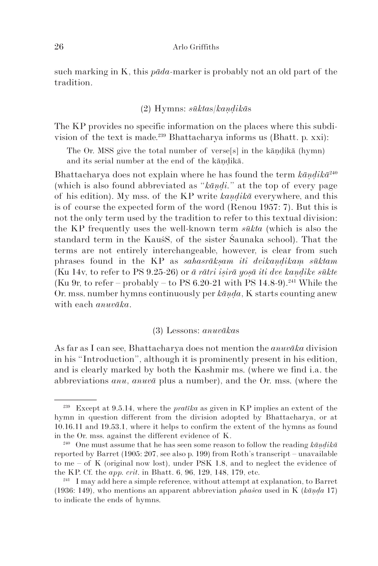such marking in K, this *pāda*-marker is probably not an old part of the tradition.

## (2) Hymns: *sūkta*s/*kaṇḍikā*s

The KP provides no specific information on the places where this subdivision of the text is made.239 Bhattacharya informs us (Bhatt. p. xxi):

The Or. MSS give the total number of verse<sup>[s]</sup> in the kāndikā (hymn) and its serial number at the end of the kāṇḍikā.

Bhattacharya does not explain where he has found the term *kāṇḍikā*<sup>240</sup> (which is also found abbreviated as "*kāṇḍi.*" at the top of every page of his edition). My mss. of the KP write *kaṇḍikā* everywhere, and this is of course the expected form of the word (Renou 1957: 7). But this is not the only term used by the tradition to refer to this textual division: the KP frequently uses the well-known term *sūkta* (which is also the standard term in the KauśS, of the sister Śaunaka school). That the terms are not entirely interchangeable, however, is clear from such phrases found in the KP as *sahasrākṣam iti dvikaṇḍikaṃ sūktam* (Ku 14v, to refer to PS 9.25-26) or *ā rātri iṣirā yoṣā iti dve kaṇḍike sūkte* (Ku 9r, to refer – probably – to PS 6.20-21 with PS 14.8-9).<sup>241</sup> While the Or. mss. number hymns continuously per *kāṇḍa*, K starts counting anew with each *anuvāka*.

#### (3) Lessons: *anuvāka*s

As far as I can see, Bhattacharya does not mention the *anuvāka* division in his "Introduction", although it is prominently present in his edition, and is clearly marked by both the Kashmir ms. (where we find i.a. the abbreviations *anu*, *anuvā* plus a number), and the Or. mss. (where the

<sup>239</sup> Except at 9.5.14, where the *pratīka* as given in KP implies an extent of the hymn in question different from the division adopted by Bhattacharya, or at 10.16.11 and 19.53.1, where it helps to confirm the extent of the hymns as found in the Or. mss. against the different evidence of K.

<sup>&</sup>lt;sup>240</sup> One must assume that he has seen some reason to follow the reading  $k\bar{a}n\bar{d}i\bar{k}\bar{a}$ reported by Barret (1905: 207, see also p. 199) from Roth's transcript – unavailable to me – of K (original now lost), under PSK 1.8, and to neglect the evidence of the KP. Cf. the *app. crit*. in Bhatt. 6, 96, 129, 148, 179, etc.

<sup>&</sup>lt;sup>241</sup> I may add here a simple reference, without attempt at explanation, to Barret (1936: 149), who mentions an apparent abbreviation *phaśca* used in K (*kāṇḍa* 17) to indicate the ends of hymns.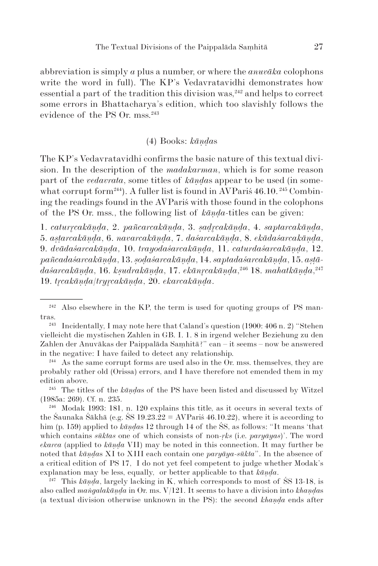abbreviation is simply *a* plus a number, or where the *anuvāka* colophons write the word in full). The KP's Vedavratavidhi demonstrates how  $\epsilon$  essential a part of the tradition this division was.<sup>242</sup> and helps to correct some errors in Bhattacharya's edition, which too slavishly follows the evidence of the PS Or. mss.<sup>243</sup>

## (4) Books: *kāṇḍa*s

The KP's Vedavratavidhi confirms the basic nature of this textual division. In the description of the *madakarman*, which is for some reason part of the *vedavrata*, some titles of *kāṇḍa*s appear to be used (in somewhat corrupt form<sup>244</sup>). A fuller list is found in AVParis  $46.10.^{245}$  Combining the readings found in the AVPariś with those found in the colophons of the PS Or. mss., the following list of *kāṇḍa*-titles can be given:

1. *caturcakāṇḍa*, 2. *pañcarcakāṇḍa*, 3. *ṣaḍcakāṇḍa*, 4. *saptarcakāṇḍa*, 5. *aṣṭarcakāṇḍa*, 6. *navarcakāṇḍa*, 7. *daśarcakāṇḍa*, 8. *ekādaśarcakāṇḍa*, 9. *dvādaśarcakāṇḍa*, 10. *trayodaśarcakāṇḍa*, 11. *caturdaśarcakāṇḍa*, 12. *pañ ca daśarcakāṇḍa*, 13. *ṣoḍaśarcakāṇḍa*, 14. *saptadaśarcakāṇḍa*, 15. *aṣṭā* $d$ aśarcakāṇḍa, 16. kṣudrakāṇḍa, 17. ekānŗcakāṇḍa, $^{246}$  18.  $mahat$ kāṇḍa, $^{247}$ 19. *tcakāṇḍa*/*trycakāṇḍa*, 20. *ekarcakāṇḍa*.

<sup>245</sup> The titles of the *kāṇḍa*s of the PS have been listed and discussed by Witzel (1985a: 269). Cf. n. 235.

<sup>246</sup> Modak 1993: 181, n. 120 explains this title, as it occurs in several texts of the Śaunaka Śākhā (e.g. ŚS 19.23.22 = AVPariś 46.10.22), where it is according to him (p. 159) applied to *kāṇḍa*s 12 through 14 of the ŚS, as follows: "It means 'that which contains *sūktas* one of which consists of non-*ṛks* (i.e. *paryāyas*)'. The word *ekarca* (applied to *kāṇḍa* VII) may be noted in this connection. It may further be noted that *kāṇḍa*s XI to XIII each contain one *paryāya-sūkta*". In the absence of a critical edition of PS 17, I do not yet feel competent to judge whether Modak's explanation may be less, equally, or better applicable to that *kāṇḍa*.

<sup>247</sup> This *kāṇḍa*, largely lacking in K, which corresponds to most of ŚS 13-18, is also called *maṅgalakāṇḍa* in Or. ms. V/121. It seems to have a division into *khaṇḍa*s (a textual division otherwise unknown in the PS): the second *khaṇḍa* ends after

 $242$  Also elsewhere in the KP, the term is used for quoting groups of PS man- $\text{tras.}\ \, _{243}$ 

Incidentally, I may note here that Caland's question (1900: 406 n. 2) "Stehen vielleicht die mystischen Zahlen in GB. I. 1. 8 in irgend welcher Beziehung zu den Zahlen der Anuvākas der Paippalāda Saṃhitā?" can – it seems – now be answered in the negative: I have failed to detect any relationship.

<sup>&</sup>lt;sup>244</sup> As the same corrupt forms are used also in the Or. mss. themselves, they are probably rather old (Orissa) errors, and I have therefore not emended them in my edition above.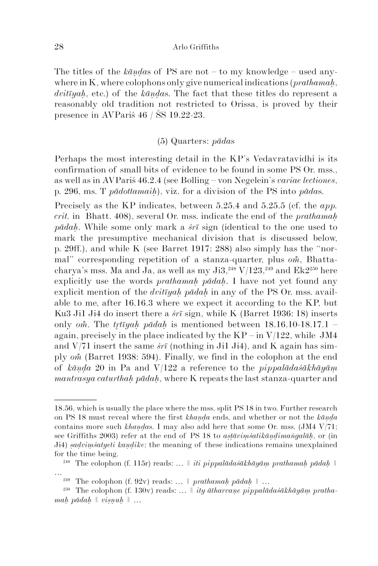The titles of the *kāṇḍa*s of PS are not – to my knowledge – used anywhere in K, where colophons only give numerical indications (*prathamaḥ*, *dvitīyaḥ,* etc.) of the *kāṇḍa*s. The fact that these titles do represent a reasonably old tradition not restricted to Orissa, is proved by their presence in AVPariś 46 / ŚS 19.22-23.

## (5) Quarters: *pāda*s

Perhaps the most interesting detail in the KP's Vedavratavidhi is its confirmation of small bits of evidence to be found in some PS Or. mss., as well as in AVPariś 46.2.4 (see Bolling – von Negelein's *variae lectiones*, p. 296, ms. T *pādottamaiḥ*), viz. for a division of the PS into *pāda*s.

Precisely as the KP indicates, between 5.25.4 and 5.25.5 (cf. the *app*. *crit.* in Bhatt. 408), several Or. mss. indicate the end of the *prathamaḥ pādaḥ*. While some only mark a *śrī* sign (identical to the one used to mark the presumptive mechanical division that is discussed below, p. 29ff.), and while K (see Barret 1917: 288) also simply has the "normal" corresponding repetition of a stanza-quarter, plus *om*, Bhattacharya's mss. Ma and Ja, as well as my  $\text{Ji3},^{248}$  V/123,<sup>249</sup> and Ek2<sup>250</sup> here explicitly use the words *prathamah pādah*. I have not yet found any explicit mention of the *dvitīyaḥ pādaḥ* in any of the PS Or. mss. available to me, after 16.16.3 where we expect it according to the KP, but Ku3 Ji1 Ji4 do insert there a *śrī* sign, while K (Barret 1936: 18) inserts only *om*. The *trivah pādah* is mentioned between  $18.16.10-18.17.1$  – again, precisely in the place indicated by the  $KP - in V/122$ , while JM4 and V/71 insert the same *śrī* (nothing in Ji1 Ji4), and K again has simply *o* (Barret 1938: 594). Finally, we find in the colophon at the end of *kāṇḍa* 20 in Pa and V/122 a reference to the *pippalādaśākhāyāṃ mantrasya caturthaḥ pādaḥ*, where K repeats the last stanza-quarter and

<sup>18.56,</sup> which is usually the place where the mss. split PS 18 in two. Further research on PS 18 must reveal where the first *khaṇḍa* ends, and whether or not the *kāṇḍa* contains more such *khaṇḍa*s. I may also add here that some Or. mss. (JM4 V/71; see Griffiths 2003) refer at the end of PS 18 to *aṣṭāviṃśatikāṇḍimaṅgalāḥ*, or (in Ji4) *sadvimśatyeti kandike*; the meaning of these indications remains unexplained for the time being.

<sup>248</sup> The colophon (f. 115r) reads: … *ǁ iti pippalādaśākhāyāṃ prathamaḥ pādaḥ ǁ*

<sup>&</sup>lt;sup>249</sup> The colophon (f. 92v) reads: ...  $\parallel$  *prathamah pādah*  $\parallel$  ...

<sup>&</sup>lt;sup>250</sup> The colophon (f. 130v) reads: ...  $\parallel$  *ity ātharvane pippalādaśākhāyām prathamaḥ pādaḥ ǁ viṣṇuḥ ǁ …*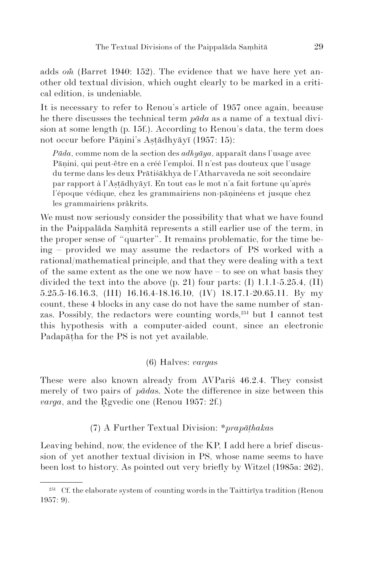adds *om* (Barret 1940: 152). The evidence that we have here yet another old textual division, which ought clearly to be marked in a critical edition, is undeniable.

It is necessary to refer to Renou's article of 1957 once again, because he there discusses the technical term *pāda* as a name of a textual division at some length (p. 15f.). According to Renou's data, the term does not occur before Pāṇini's Aṣṭādhyāyī (1957: 15):

*Pāda*, comme nom de la section des *adhyāya*, apparaît dans l'usage avec Pāṇini, qui peut-être en a créé l'emploi. Il n'est pas douteux que l'usage du terme dans les deux Prātiśākhya de l'Atharvaveda ne soit secondaire par rapport à l'Aṣṭādhyāyī. En tout cas le mot n'a fait fortune qu'après l'époque védique, chez les grammairiens non-pāṇinéens et jusque chez les grammairiens prâkrits.

We must now seriously consider the possibility that what we have found in the Paippalāda Saṃhitā represents a still earlier use of the term, in the proper sense of "quarter". It remains problematic, for the time being – provided we may assume the redactors of PS worked with a rational/mathematical principle, and that they were dealing with a text of the same extent as the one we now have – to see on what basis they divided the text into the above  $(p. 21)$  four parts: (I) 1.1.1-5.25.4, (II) 5.25.5-16.16.3, (III) 16.16.4-18.16.10, (IV) 18.17.1-20.65.11. By my count, these 4 blocks in any case do not have the same number of stanzas. Possibly, the redactors were counting words, $251$  but I cannot test this hypothesis with a computer-aided count, since an electronic Padapāṭha for the PS is not yet available.

### (6) Halves: *varga*s

These were also known already from AVPariś 46.2.4. They consist merely of two pairs of *pāda*s. Note the difference in size between this *varga*, and the Rgyedic one (Renou 1957: 2f.)

## (7) A Further Textual Division: *\*prapāṭhaka*s

Leaving behind, now, the evidence of the KP, I add here a brief discussion of yet another textual division in PS, whose name seems to have been lost to history. As pointed out very briefly by Witzel (1985a: 262),

<sup>&</sup>lt;sup>251</sup> Cf. the elaborate system of counting words in the Taittirīya tradition (Renou 1957: 9).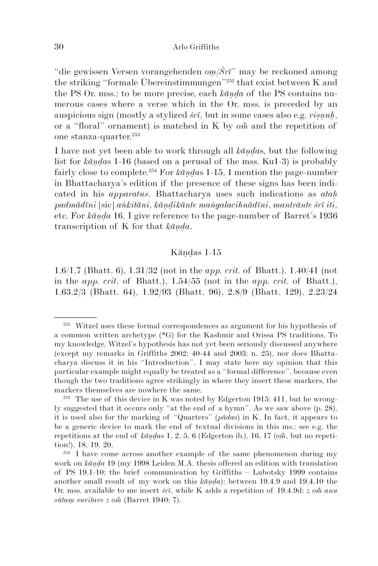"die gewissen Versen vorangehenden *oṃ/Śrī*" may be reckoned among the striking "formale Übereinstimmungen"252 that exist between K and the PS Or. mss.; to be more precise, each *kāṇḍa* of the PS contains numerous cases where a verse which in the Or. mss. is preceded by an auspicious sign (mostly a stylized *śrī*, but in some cases also e.g. *viṣṇuḥ*, or a "floral" ornament) is matched in K by  $\omega \tilde{n}$  and the repetition of one stanza-quarter.253

I have not yet been able to work through all *kāṇḍa*s, but the following list for *kāṇḍa*s 1-16 (based on a perusal of the mss. Ku1-3) is probably fairly close to complete.254 For *kāṇḍa*s 1-15, I mention the page-number in Bhattacharya's edition if the presence of these signs has been indicated in his *apparatus*. Bhattacharya uses such indications as *ataḥ padmādīni* [sic] *aṅkitāni*, *kāṇḍikānte maṅgalacihnādīni*, *mantrānte śrī iti,* etc. For *kāṇḍa* 16, I give reference to the page-number of Barret's 1936 transcription of K for that *kāṇḍa*.

#### Kāṇḍas 1-15

1.6/1.7 (Bhatt. 6), 1.31/32 (not in the *app. crit.* of Bhatt.), 1.40/41 (not in the *app. crit*. of Bhatt.), 1.54/55 (not in the *app. crit.* of Bhatt.), 1.63.2/3 (Bhatt. 64), 1.92/93 (Bhatt. 96), 2.8/9 (Bhatt. 129), 2.23/24

<sup>252</sup> Witzel uses these formal correspondences as argument for his hypothesis of a common written archetype (\*G) for the Kashmir and Orissa PS traditions. To my knowledge, Witzel's hypothesis has not yet been seriously discussed anywhere (except my remarks in Griffiths 2002: 40-44 and 2003: n. 25), nor does Bhattacharya discuss it in his "Introduction". I may state here my opinion that this particular example might equally be treated as a "formal difference", because even though the two traditions agree strikingly in where they insert these markers, the markers themselves are nowhere the same.

<sup>&</sup>lt;sup>253</sup> The use of this device in K was noted by Edgerton 1915: 411, but he wrongly suggested that it occurs only "at the end of a hymn". As we saw above (p. 28), it is used also for the marking of "Quarters" (*pāda*s) in K. In fact, it appears to be a generic device to mark the end of textual divisions in this ms.: see e.g. the repetitions at the end of *kāṇḍas* 1, 2, 5, 6 (Edgerton ib.), 16, 17 (*om*, but no repetition!), 18, 19, 20.

<sup>&</sup>lt;sup>254</sup> I have come across another example of the same phenomenon during my work on *kāṇḍa* 19 (my 1998 Leiden M.A. thesis offered an edition with translation of PS 19.1-10; the brief communication by Griffiths – Lubotsky 1999 contains another small result of my work on this *kāṇḍa*): between 19.4.9 and 19.4.10 the Or. mss. available to me insert  $\acute{s}\acute{r}$ , while K adds a repetition of 19.4.9d:  $z \space on \hat{n}$  anu  $s\bar{u}$ *tam suvitave z om* (Barret 1940: 7).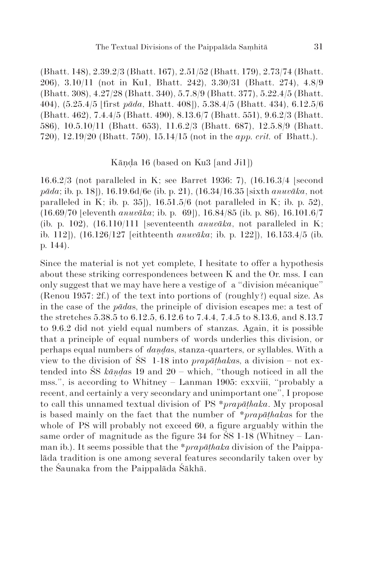(Bhatt. 148), 2.39.2/3 (Bhatt. 167), 2.51/52 (Bhatt. 179), 2.73/74 (Bhatt. 206), 3.10/11 (not in Ku1, Bhatt. 242), 3.30/31 (Bhatt. 274), 4.8/9 (Bhatt. 308), 4.27/28 (Bhatt. 340), 5.7.8/9 (Bhatt. 377), 5.22.4/5 (Bhatt. 404), (5.25.4/5 [first *pāda*, Bhatt. 408]), 5.38.4/5 (Bhatt. 434), 6.12.5/6 (Bhatt. 462), 7.4.4/5 (Bhatt. 490), 8.13.6/7 (Bhatt. 551), 9.6.2/3 (Bhatt. 586), 10.5.10/11 (Bhatt. 653), 11.6.2/3 (Bhatt. 687), 12.5.8/9 (Bhatt. 720), 12.19/20 (Bhatt. 750), 15.14/15 (not in the *app. crit.* of Bhatt.).

## Kāṇḍa 16 (based on Ku3 [and Ji1])

16.6.2/3 (not paralleled in K; see Barret 1936: 7), (16.16.3/4 [second *pāda*; ib. p. 18]), 16.19.6d/6e (ib. p. 21), (16.34/16.35 [sixth *anuvāka*, not paralleled in K; ib. p. 35]),  $16.51.5/6$  (not paralleled in K; ib. p. 52), (16.69/70 [eleventh *anuvāka*; ib. p. 69]), 16.84/85 (ib. p. 86), 16.101.6/7 (ib. p. 102), (16.110/111 [seventeenth *anuvāka*, not paralleled in K; ib. 112]), (16.126/127 [eithteenth *anuvāka*; ib. p. 122]), 16.153.4/5 (ib. p. 144).

Since the material is not yet complete, I hesitate to offer a hypothesis about these striking correspondences between K and the Or. mss. I can only suggest that we may have here a vestige of a "division mécanique" (Renou 1957: 2f.) of the text into portions of (roughly?) equal size. As in the case of the *pāda*s, the principle of division escapes me: a test of the stretches 5.38.5 to 6.12.5, 6.12.6 to 7.4.4, 7.4.5 to 8.13.6, and 8.13.7 to 9.6.2 did not yield equal numbers of stanzas. Again, it is possible that a principle of equal numbers of words underlies this division, or perhaps equal numbers of *daṇḍa*s, stanza-quarters, or syllables. With a view to the division of ŚS 1-18 into *prapāṭhaka*s, a division – not extended into ŚS *kāṇḍa*s 19 and 20 – which, "though noticed in all the mss.", is according to Whitney – Lanman 1905: cxxviii, "probably a recent, and certainly a very secondary and unimportant one", I propose to call this unnamed textual division of PS \**prapāṭhaka*. My proposal is based mainly on the fact that the number of \**prapāṭhaka*s for the whole of PS will probably not exceed 60, a figure arguably within the same order of magnitude as the figure 34 for ŚS 1-18 (Whitney – Lanman ib.). It seems possible that the \**prapāṭhaka* division of the Paippalāda tradition is one among several features secondarily taken over by the Śaunaka from the Paippalāda Śākhā.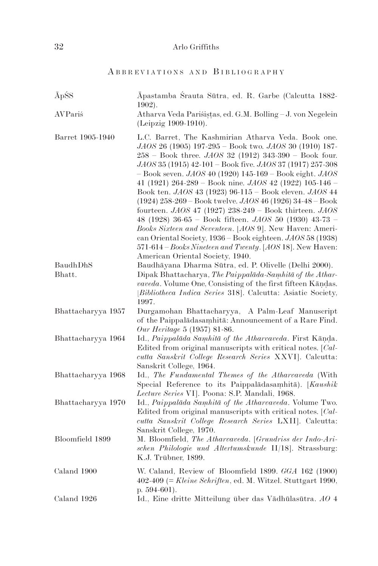# A B B R E V I A T I O N S A N D B I B L I O G R A P H Y

| <b>ĀpŚS</b>        | Āpastamba Śrauta Sūtra, ed. R. Garbe (Calcutta 1882-<br>$1902$ ).                                                                                                                                                                                                                                                                                                                                                                                                                                                                                                                                                                                                                                                                                                                                                                                  |
|--------------------|----------------------------------------------------------------------------------------------------------------------------------------------------------------------------------------------------------------------------------------------------------------------------------------------------------------------------------------------------------------------------------------------------------------------------------------------------------------------------------------------------------------------------------------------------------------------------------------------------------------------------------------------------------------------------------------------------------------------------------------------------------------------------------------------------------------------------------------------------|
| AVParis            | Atharva Veda Pariśistas, ed. G.M. Bolling - J. von Negelein<br>(Leipzig 1909-1910).                                                                                                                                                                                                                                                                                                                                                                                                                                                                                                                                                                                                                                                                                                                                                                |
| Barret 1905-1940   | L.C. Barret, The Kashmirian Atharva Veda. Book one.<br>JAOS 26 (1905) 197-295 - Book two. JAOS 30 (1910) 187-<br>$258 - Book$ three. $JAOS$ 32 (1912) 343-390 - Book four.<br>JAOS 35 (1915) 42-101 - Book five. JAOS 37 (1917) 257-308<br>$-$ Book seven. $JAOS$ 40 (1920) 145-169 – Book eight. $JAOS$<br>41 (1921) 264-289 – Book nine. $JAOS$ 42 (1922) 105-146 –<br>Book ten. JAOS 43 (1923) 96-115 - Book eleven. JAOS 44<br>$(1924)$ 258-269 – Book twelve. JAOS 46 (1926) 34-48 – Book<br>fourteen. $JAOS$ 47 (1927) 238-249 – Book thirteen. $JAOS$<br>48 (1928) 36-65 – Book fifteen. $JAOS$ 50 (1930) 43-73 –<br>Books Sixteen and Seventeen. [AOS 9]. New Haven: Ameri-<br>can Oriental Society, 1936 – Book eighteen. JAOS 58 (1938)<br>571-614 – Books Nineteen and Twenty. [AOS 18]. New Haven:<br>American Oriental Society, 1940. |
| BaudhDhS           | Baudhāyana Dharma Sūtra, ed. P. Olivelle (Delhi 2000).                                                                                                                                                                                                                                                                                                                                                                                                                                                                                                                                                                                                                                                                                                                                                                                             |
| Bhatt.             | Dipak Bhattacharya, The Paippalada-Samhita of the Athar-                                                                                                                                                                                                                                                                                                                                                                                                                                                                                                                                                                                                                                                                                                                                                                                           |
|                    | vaveda. Volume One, Consisting of the first fifteen Kandas.<br>[Bibliotheca Indica Series 318]. Calcutta: Asiatic Society,<br>1997.                                                                                                                                                                                                                                                                                                                                                                                                                                                                                                                                                                                                                                                                                                                |
| Bhattacharyya 1957 | Durgamohan Bhattacharyya, A Palm-Leaf Manuscript<br>of the Paippaladasamhita: Announcement of a Rare Find.<br>Our Heritage 5 (1957) 81-86.                                                                                                                                                                                                                                                                                                                                                                                                                                                                                                                                                                                                                                                                                                         |
| Bhattacharyya 1964 | Id., Paippalāda Samhitā of the Atharvaveda. First Kānda.<br>Edited from original manuscripts with critical notes. [Cal-<br>cutta Sanskrit College Research Series XXVI]. Calcutta:<br>Sanskrit College, 1964.                                                                                                                                                                                                                                                                                                                                                                                                                                                                                                                                                                                                                                      |
| Bhattacharyya 1968 | Id., The Fundamental Themes of the Atharvaveda (With<br>Special Reference to its Paippaladasamhita). [Kaushik<br>Lecture Series VI]. Poona: S.P. Mandali, 1968.                                                                                                                                                                                                                                                                                                                                                                                                                                                                                                                                                                                                                                                                                    |
| Bhattacharyya 1970 | Id., Paippalāda Samhitā of the Atharvaveda. Volume Two.<br>Edited from original manuscripts with critical notes. [Cal-<br>cutta Sanskrit College Research Series LXII]. Calcutta:<br>Sanskrit College, 1970.                                                                                                                                                                                                                                                                                                                                                                                                                                                                                                                                                                                                                                       |
| Bloomfield 1899    | M. Bloomfield, The Atharvaveda. [Grundriss der Indo-Ari-<br>schen Philologie und Altertumskunde II/18]. Strassburg:<br>K.J. Trübner, 1899.                                                                                                                                                                                                                                                                                                                                                                                                                                                                                                                                                                                                                                                                                                         |
| Caland 1900        | W. Caland, Review of Bloomfield 1899. GGA 162 (1900)<br>$402-409$ (= Kleine Schriften, ed. M. Witzel. Stuttgart 1990,<br>p. $594-601$ ).                                                                                                                                                                                                                                                                                                                                                                                                                                                                                                                                                                                                                                                                                                           |
| Caland 1926        | Id., Eine dritte Mitteilung über das Vādhūlasūtra. AO 4                                                                                                                                                                                                                                                                                                                                                                                                                                                                                                                                                                                                                                                                                                                                                                                            |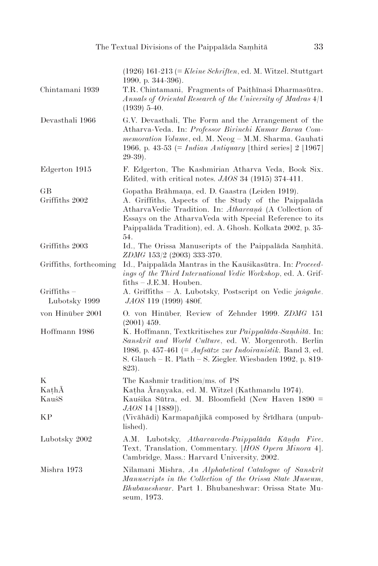| Chintamani 1939                | $(1926)$ 161-213 (= Kleine Schriften, ed. M. Witzel. Stuttgart<br>1990, p. $344-396$ ).<br>T.R. Chintamani, Fragments of Paithinasi Dharmasūtra.<br>$Annals$ of Oriental Research of the University of Madras $4/1$<br>$(1939)$ 5-40.                                                            |
|--------------------------------|--------------------------------------------------------------------------------------------------------------------------------------------------------------------------------------------------------------------------------------------------------------------------------------------------|
| Devasthali 1966                | G.V. Devasthali, The Form and the Arrangement of the<br>Atharva-Veda. In: Professor Birinchi Kumar Barua Com-<br>memoration Volume, ed. M. Neog - M.M. Sharma. Gauhati<br>1966, p. 43-53 (= <i>Indian Antiquary</i> [third series] $2 \, [1967]$<br>$29-39$ ).                                   |
| Edgerton 1915                  | F. Edgerton, The Kashmirian Atharva Veda, Book Six.<br>Edited, with critical notes. $JAOS$ 34 (1915) 374-411.                                                                                                                                                                                    |
| GВ<br>Griffiths 2002           | Gopatha Brāhmaņa, ed. D. Gaastra (Leiden 1919).<br>A. Griffiths, Aspects of the Study of the Paippalada<br>AtharvaVedic Tradition. In: Atharvaná (A Collection of<br>Essays on the AtharvaVeda with Special Reference to its<br>Paippalāda Tradition), ed. A. Ghosh. Kolkata 2002, p. 35-<br>54. |
| Griffiths 2003                 | Id., The Orissa Manuscripts of the Paippalada Samhita.<br>ZDMG 153/2 (2003) 333-370.                                                                                                                                                                                                             |
| Griffiths, forthcoming         | Id., Paippalāda Mantras in the Kauśikasūtra. In: Proceed-<br>ings of the Third International Vedic Workshop, ed. A. Grif-<br>$fiths - J.E.M. Houben.$                                                                                                                                            |
| $Griffiths -$<br>Lubotsky 1999 | A. Griffiths - A. Lubotsky, Postscript on Vedic jangahe.<br><i>JAOS</i> 119 (1999) 480f.                                                                                                                                                                                                         |
| von Hinüber 2001               | O. von Hinüber, Review of Zehnder 1999. ZDMG 151<br>$(2001)$ 459.                                                                                                                                                                                                                                |
| Hoffmann 1986                  | K. Hoffmann, Textkritisches zur Paippalāda-Samhitā. In:<br>Sanskrit and World Culture, ed. W. Morgenroth. Berlin<br>1986, p. 457-461 (= $Aufsätze zur Indoiranistik$ . Band 3, ed.<br>S. Glauch – R. Plath – S. Ziegler. Wiesbaden 1992, p. 819-<br>823).                                        |
| Κ                              | The Kashmir tradition/ms. of PS                                                                                                                                                                                                                                                                  |
| KathA                          | Katha Aranyaka, ed. M. Witzel (Kathmandu 1974).                                                                                                                                                                                                                                                  |
| KauśS                          | Kauśika Sūtra, ed. M. Bloomfield (New Haven 1890 =<br><i>JAOS</i> 14 [1889]).                                                                                                                                                                                                                    |
| KР                             | (Vivāhādi) Karmapañjikā composed by Śrīdhara (unpub-<br>lished).                                                                                                                                                                                                                                 |
| Lubotsky 2002                  | A.M. Lubotsky, Atharvaveda-Paippalāda Kānda Five.<br>Text, Translation, Commentary. [HOS Opera Minora 4].<br>Cambridge, Mass.: Harvard University, 2002.                                                                                                                                         |
| Mishra 1973                    | Nilamani Mishra, An Alphabetical Catalogue of Sanskrit<br>Manuscripts in the Collection of the Orissa State Museum,<br><i>Bhubaneshwar</i> . Part 1. Bhubaneshwar: Orissa State Mu-<br>seum, 1973.                                                                                               |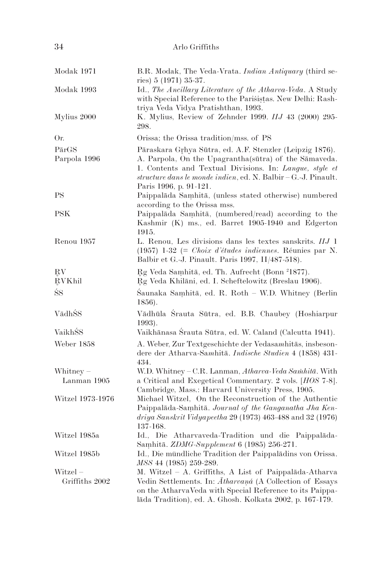| 34 | Arlo Griffiths |
|----|----------------|
|    |                |

| Modak 1971                 | B.R. Modak, The Veda-Vrata. <i>Indian Antiquary</i> (third se-                                                                                                                                                                                                            |
|----------------------------|---------------------------------------------------------------------------------------------------------------------------------------------------------------------------------------------------------------------------------------------------------------------------|
| Modak 1993                 | ries) $5(1971)$ 35-37.<br>Id., The Ancillary Literature of the Atharva-Veda. A Study<br>with Special Reference to the Parisistas. New Delhi: Rash-<br>triya Veda Vidya Pratishthan, 1993.                                                                                 |
| Mylius 2000                | K. Mylius, Review of Zehnder 1999. IIJ 43 (2000) 295-<br>298.                                                                                                                                                                                                             |
| Or.                        | Orissa; the Orissa tradition/mss. of PS                                                                                                                                                                                                                                   |
| PārGS<br>Parpola 1996      | Pāraskara Grhya Sūtra, ed. A.F. Stenzler (Leipzig 1876).<br>A. Parpola, On the Upagrantha (sūtra) of the Sāmaveda.<br>1. Contents and Textual Divisions. In: Langue, style et<br>structure dans le monde indien, ed. N. Balbir – G.-J. Pinault.<br>Paris 1996, p. 91-121. |
| PS                         | Paippalāda Samhitā, (unless stated otherwise) numbered                                                                                                                                                                                                                    |
| <b>PSK</b>                 | according to the Orissa mss.<br>Paippalāda Samhitā, (numbered/read) according to the<br>Kashmir (K) ms., ed. Barret 1905-1940 and Edgerton<br>1915.                                                                                                                       |
| Renou 1957                 | L. Renou, Les divisions dans les textes sanskrits. IIJ 1<br>$(1957)$ 1-32 (= <i>Choix d'études indiennes</i> . Réunies par N.<br>Balbir et G.-J. Pinault. Paris 1997, II/487-518).                                                                                        |
| RV<br><b>RVKhil</b>        | Rg Veda Samhitā, ed. Th. Aufrecht (Bonn <sup>2</sup> 1877).<br>Rg Veda Khilāni, ed. I. Scheftelowitz (Breslau 1906).                                                                                                                                                      |
| ŚS                         | Saunaka Samhitā, ed. R. Roth - W.D. Whitney (Berlin<br>1856).                                                                                                                                                                                                             |
| VādhŚS                     | Vādhūla Šrauta Sūtra, ed. B.B. Chaubey (Hoshiarpur<br>$1993$ ).                                                                                                                                                                                                           |
| VaikhŚS                    | Vaikhānasa Srauta Sūtra, ed. W. Caland (Calcutta 1941).                                                                                                                                                                                                                   |
| Weber 1858                 | A. Weber, Zur Textgeschichte der Vedasamhitäs, insbeson-<br>dere der Atharva-Samhitā. Indische Studien 4 (1858) 431-<br>434.                                                                                                                                              |
| Whitney $-$                | W.D. Whitney - C.R. Lanman, Atharva-Veda Samhitā. With                                                                                                                                                                                                                    |
| Lanman 1905                | a Critical and Exegetical Commentary. 2 vols. [HOS 7-8].<br>Cambridge, Mass.: Harvard University Press, 1905.                                                                                                                                                             |
| Witzel 1973-1976           | Michael Witzel, On the Reconstruction of the Authentic<br>Paippalāda-Samhitā. Journal of the Ganganatha Jha Ken-<br>driya Sanskrit Vidyapeetha 29 (1973) 463-488 and 32 (1976)<br>137-168.                                                                                |
| Witzel 1985a               | Id., Die Atharvaveda-Tradition und die Paippalāda-<br>Samhitā. ZDMG-Supplement 6 (1985) 256-271.                                                                                                                                                                          |
| Witzel 1985b               | Id., Die mündliche Tradition der Paippalādins von Orissa.<br>MSS 44 (1985) 259-289.                                                                                                                                                                                       |
| Witzel -<br>Griffiths 2002 | M. Witzel - A. Griffiths, A List of Paippalāda-Atharva<br>Vedin Settlements. In: Atharvaná (A Collection of Essays<br>on the AtharvaVeda with Special Reference to its Paippa-<br>lāda Tradition), ed. A. Ghosh. Kolkata 2002, p. 167-179.                                |